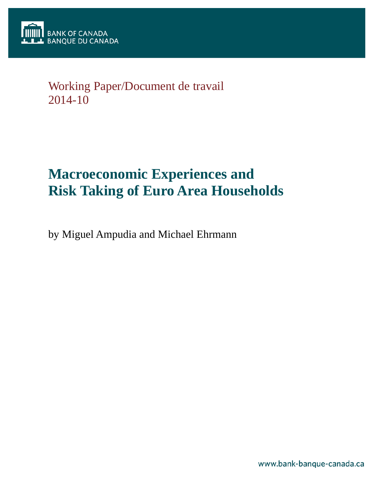

## Working Paper/Document de travail 2014-10

# **Macroeconomic Experiences and Risk Taking of Euro Area Households**

by Miguel Ampudia and Michael Ehrmann

www.bank-banque-canada.ca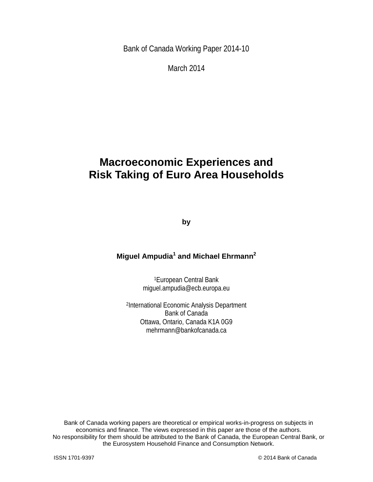Bank of Canada Working Paper 2014-10

March 2014

## **Macroeconomic Experiences and Risk Taking of Euro Area Households**

**by**

## **Miguel Ampudia<sup>1</sup> and Michael Ehrmann2**

1European Central Bank miguel.ampudia@ecb.europa.eu

2International Economic Analysis Department Bank of Canada Ottawa, Ontario, Canada K1A 0G9 mehrmann@bankofcanada.ca

Bank of Canada working papers are theoretical or empirical works-in-progress on subjects in economics and finance. The views expressed in this paper are those of the authors. No responsibility for them should be attributed to the Bank of Canada, the European Central Bank, or the Eurosystem Household Finance and Consumption Network.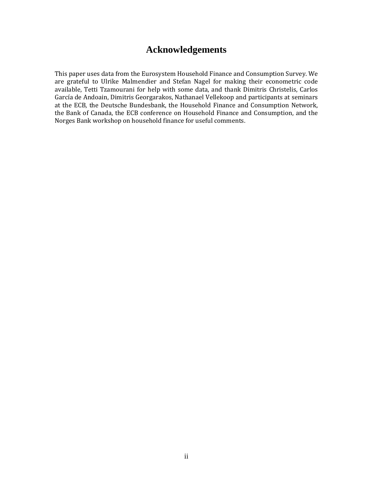## **Acknowledgements**

This paper uses data from the Eurosystem Household Finance and Consumption Survey. We are grateful to Ulrike Malmendier and Stefan Nagel for making their econometric code available, Tetti Tzamourani for help with some data, and thank Dimitris Christelis, Carlos García de Andoain, Dimitris Georgarakos, Nathanael Vellekoop and participants at seminars at the ECB, the Deutsche Bundesbank, the Household Finance and Consumption Network, the Bank of Canada, the ECB conference on Household Finance and Consumption, and the Norges Bank workshop on household finance for useful comments.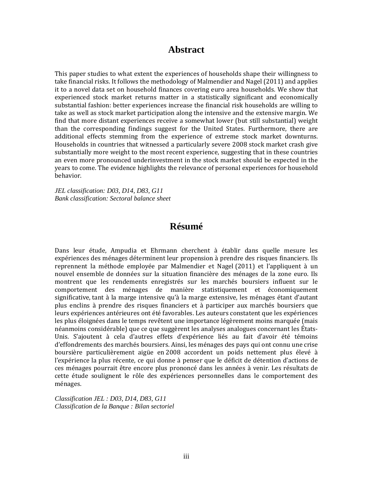### **Abstract**

This paper studies to what extent the experiences of households shape their willingness to take financial risks. It follows the methodology of Malmendier and Nagel (2011) and applies it to a novel data set on household finances covering euro area households. We show that experienced stock market returns matter in a statistically significant and economically substantial fashion: better experiences increase the financial risk households are willing to take as well as stock market participation along the intensive and the extensive margin. We find that more distant experiences receive a somewhat lower (but still substantial) weight than the corresponding findings suggest for the United States. Furthermore, there are additional effects stemming from the experience of extreme stock market downturns. Households in countries that witnessed a particularly severe 2008 stock market crash give substantially more weight to the most recent experience, suggesting that in these countries an even more pronounced underinvestment in the stock market should be expected in the years to come. The evidence highlights the relevance of personal experiences for household behavior.

*JEL classification: D03, D14, D83, G11 Bank classification: Sectoral balance sheet*

## **Résumé**

Dans leur étude, Ampudia et Ehrmann cherchent à établir dans quelle mesure les expériences des ménages déterminent leur propension à prendre des risques financiers. Ils reprennent la méthode employée par Malmendier et Nagel (2011) et l'appliquent à un nouvel ensemble de données sur la situation financière des ménages de la zone euro. Ils montrent que les rendements enregistrés sur les marchés boursiers influent sur le comportement des ménages de manière statistiquement et économiquement significative, tant à la marge intensive qu'à la marge extensive, les ménages étant d'autant plus enclins à prendre des risques financiers et à participer aux marchés boursiers que leurs expériences antérieures ont été favorables. Les auteurs constatent que les expériences les plus éloignées dans le temps revêtent une importance légèrement moins marquée (mais néanmoins considérable) que ce que suggèrent les analyses analogues concernant les États-Unis. S'ajoutent à cela d'autres effets d'expérience liés au fait d'avoir été témoins d'effondrements des marchés boursiers. Ainsi, les ménages des pays qui ont connu une crise boursière particulièrement aigüe en 2008 accordent un poids nettement plus élevé à l'expérience la plus récente, ce qui donne à penser que le déficit de détention d'actions de ces ménages pourrait être encore plus prononcé dans les années à venir. Les résultats de cette étude soulignent le rôle des expériences personnelles dans le comportement des ménages.

*Classification JEL : D03, D14, D83, G11 Classification de la Banque : Bilan sectoriel*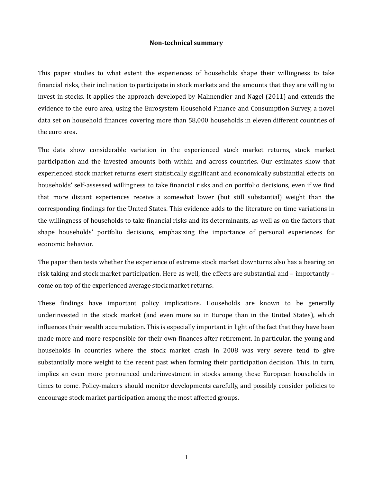#### **Non-technical summary**

This paper studies to what extent the experiences of households shape their willingness to take financial risks, their inclination to participate in stock markets and the amounts that they are willing to invest in stocks. It applies the approach developed by Malmendier and Nagel (2011) and extends the evidence to the euro area, using the Eurosystem Household Finance and Consumption Survey, a novel data set on household finances covering more than 58,000 households in eleven different countries of the euro area.

The data show considerable variation in the experienced stock market returns, stock market participation and the invested amounts both within and across countries. Our estimates show that experienced stock market returns exert statistically significant and economically substantial effects on households' self-assessed willingness to take financial risks and on portfolio decisions, even if we find that more distant experiences receive a somewhat lower (but still substantial) weight than the corresponding findings for the United States. This evidence adds to the literature on time variations in the willingness of households to take financial risks and its determinants, as well as on the factors that shape households' portfolio decisions, emphasizing the importance of personal experiences for economic behavior.

The paper then tests whether the experience of extreme stock market downturns also has a bearing on risk taking and stock market participation. Here as well, the effects are substantial and – importantly – come on top of the experienced average stock market returns.

These findings have important policy implications. Households are known to be generally underinvested in the stock market (and even more so in Europe than in the United States), which influences their wealth accumulation. This is especially important in light of the fact that they have been made more and more responsible for their own finances after retirement. In particular, the young and households in countries where the stock market crash in 2008 was very severe tend to give substantially more weight to the recent past when forming their participation decision. This, in turn, implies an even more pronounced underinvestment in stocks among these European households in times to come. Policy-makers should monitor developments carefully, and possibly consider policies to encourage stock market participation among the most affected groups.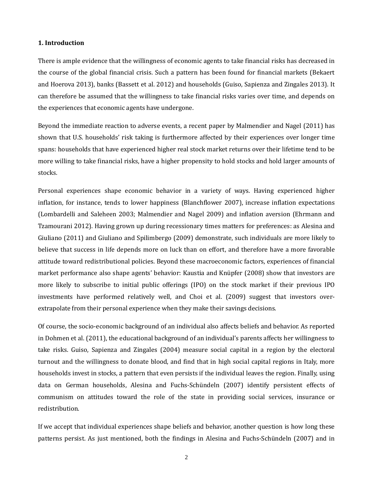#### **1. Introduction**

There is ample evidence that the willingness of economic agents to take financial risks has decreased in the course of the global financial crisis. Such a pattern has been found for financial markets (Bekaert and Hoerova 2013), banks (Bassett et al. 2012) and households (Guiso, Sapienza and Zingales 2013). It can therefore be assumed that the willingness to take financial risks varies over time, and depends on the experiences that economic agents have undergone.

Beyond the immediate reaction to adverse events, a recent paper by Malmendier and Nagel (2011) has shown that U.S. households' risk taking is furthermore affected by their experiences over longer time spans: households that have experienced higher real stock market returns over their lifetime tend to be more willing to take financial risks, have a higher propensity to hold stocks and hold larger amounts of stocks.

Personal experiences shape economic behavior in a variety of ways. Having experienced higher inflation, for instance, tends to lower happiness (Blanchflower 2007), increase inflation expectations (Lombardelli and Saleheen 2003; Malmendier and Nagel 2009) and inflation aversion (Ehrmann and Tzamourani 2012). Having grown up during recessionary times matters for preferences: as Alesina and Giuliano (2011) and Giuliano and Spilimbergo (2009) demonstrate, such individuals are more likely to believe that success in life depends more on luck than on effort, and therefore have a more favorable attitude toward redistributional policies. Beyond these macroeconomic factors, experiences of financial market performance also shape agents' behavior: Kaustia and Knüpfer (2008) show that investors are more likely to subscribe to initial public offerings (IPO) on the stock market if their previous IPO investments have performed relatively well, and Choi et al. (2009) suggest that investors overextrapolate from their personal experience when they make their savings decisions.

Of course, the socio-economic background of an individual also affects beliefs and behavior. As reported in Dohmen et al. (2011), the educational background of an individual's parents affects her willingness to take risks. Guiso, Sapienza and Zingales (2004) measure social capital in a region by the electoral turnout and the willingness to donate blood, and find that in high social capital regions in Italy, more households invest in stocks, a pattern that even persists if the individual leaves the region. Finally, using data on German households, Alesina and Fuchs-Schündeln (2007) identify persistent effects of communism on attitudes toward the role of the state in providing social services, insurance or redistribution.

If we accept that individual experiences shape beliefs and behavior, another question is how long these patterns persist. As just mentioned, both the findings in Alesina and Fuchs-Schündeln (2007) and in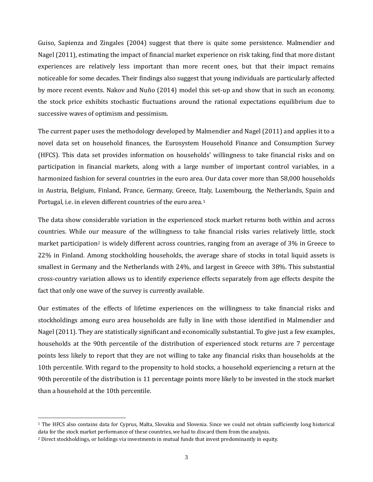<span id="page-6-0"></span>Guiso, Sapienza and Zingales (2004) suggest that there is quite some persistence. Malmendier and Nagel (2011), estimating the impact of financial market experience on risk taking, find that more distant experiences are relatively less important than more recent ones, but that their impact remains noticeable for some decades. Their findings also suggest that young individuals are particularly affected by more recent events. Nakov and Nuño (2014) model this set-up and show that in such an economy, the stock price exhibits stochastic fluctuations around the rational expectations equilibrium due to successive waves of optimism and pessimism.

The current paper uses the methodology developed by Malmendier and Nagel (2011) and applies it to a novel data set on household finances, the Eurosystem Household Finance and Consumption Survey (HFCS). This data set provides information on households' willingness to take financial risks and on participation in financial markets, along with a large number of important control variables, in a harmonized fashion for several countries in the euro area. Our data cover more than 58,000 households in Austria, Belgium, Finland, France, Germany, Greece, Italy, Luxembourg, the Netherlands, Spain and Portugal, i.e. in eleven different countries of the euro area.<sup>[1](#page-6-0)</sup>

The data show considerable variation in the experienced stock market returns both within and across countries. While our measure of the willingness to take financial risks varies relatively little, stock market participation<sup>[2](#page-6-0)</sup> is widely different across countries, ranging from an average of 3% in Greece to 22% in Finland. Among stockholding households, the average share of stocks in total liquid assets is smallest in Germany and the Netherlands with 24%, and largest in Greece with 38%. This substantial cross-country variation allows us to identify experience effects separately from age effects despite the fact that only one wave of the survey is currently available.

Our estimates of the effects of lifetime experiences on the willingness to take financial risks and stockholdings among euro area households are fully in line with those identified in Malmendier and Nagel (2011). They are statistically significant and economically substantial. To give just a few examples, households at the 90th percentile of the distribution of experienced stock returns are 7 percentage points less likely to report that they are not willing to take any financial risks than households at the 10th percentile. With regard to the propensity to hold stocks, a household experiencing a return at the 90th percentile of the distribution is 11 percentage points more likely to be invested in the stock market than a household at the 10th percentile.

 $\overline{a}$ 

<sup>1</sup> The HFCS also contains data for Cyprus, Malta, Slovakia and Slovenia. Since we could not obtain sufficiently long historical data for the stock market performance of these countries, we had to discard them from the analysis.

<sup>2</sup> Direct stockholdings, or holdings via investments in mutual funds that invest predominantly in equity.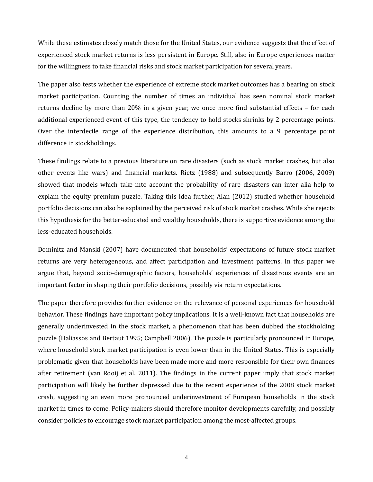While these estimates closely match those for the United States, our evidence suggests that the effect of experienced stock market returns is less persistent in Europe. Still, also in Europe experiences matter for the willingness to take financial risks and stock market participation for several years.

The paper also tests whether the experience of extreme stock market outcomes has a bearing on stock market participation. Counting the number of times an individual has seen nominal stock market returns decline by more than 20% in a given year, we once more find substantial effects – for each additional experienced event of this type, the tendency to hold stocks shrinks by 2 percentage points. Over the interdecile range of the experience distribution, this amounts to a 9 percentage point difference in stockholdings.

These findings relate to a previous literature on rare disasters (such as stock market crashes, but also other events like wars) and financial markets. Rietz (1988) and subsequently Barro (2006, 2009) showed that models which take into account the probability of rare disasters can inter alia help to explain the equity premium puzzle. Taking this idea further, Alan (2012) studied whether household portfolio decisions can also be explained by the perceived risk of stock market crashes. While she rejects this hypothesis for the better-educated and wealthy households, there is supportive evidence among the less-educated households.

Dominitz and Manski (2007) have documented that households' expectations of future stock market returns are very heterogeneous, and affect participation and investment patterns. In this paper we argue that, beyond socio-demographic factors, households' experiences of disastrous events are an important factor in shaping their portfolio decisions, possibly via return expectations.

The paper therefore provides further evidence on the relevance of personal experiences for household behavior. These findings have important policy implications. It is a well-known fact that households are generally underinvested in the stock market, a phenomenon that has been dubbed the stockholding puzzle (Haliassos and Bertaut 1995; Campbell 2006). The puzzle is particularly pronounced in Europe, where household stock market participation is even lower than in the United States. This is especially problematic given that households have been made more and more responsible for their own finances after retirement (van Rooij et al. 2011). The findings in the current paper imply that stock market participation will likely be further depressed due to the recent experience of the 2008 stock market crash, suggesting an even more pronounced underinvestment of European households in the stock market in times to come. Policy-makers should therefore monitor developments carefully, and possibly consider policies to encourage stock market participation among the most-affected groups.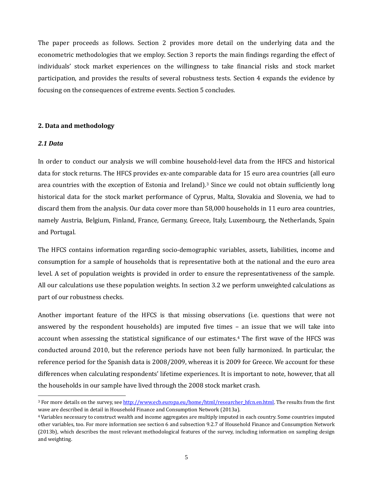<span id="page-8-0"></span>The paper proceeds as follows. Section 2 provides more detail on the underlying data and the econometric methodologies that we employ. Section 3 reports the main findings regarding the effect of individuals' stock market experiences on the willingness to take financial risks and stock market participation, and provides the results of several robustness tests. Section 4 expands the evidence by focusing on the consequences of extreme events. Section 5 concludes.

#### **2. Data and methodology**

#### *2.1 Data*

 $\overline{a}$ 

In order to conduct our analysis we will combine household-level data from the HFCS and historical data for stock returns. The HFCS provides ex-ante comparable data for 15 euro area countries (all euro area countries with the exception of Estonia and Ireland).[3](#page-8-0) Since we could not obtain sufficiently long historical data for the stock market performance of Cyprus, Malta, Slovakia and Slovenia, we had to discard them from the analysis. Our data cover more than 58,000 households in 11 euro area countries, namely Austria, Belgium, Finland, France, Germany, Greece, Italy, Luxembourg, the Netherlands, Spain and Portugal.

The HFCS contains information regarding socio-demographic variables, assets, liabilities, income and consumption for a sample of households that is representative both at the national and the euro area level. A set of population weights is provided in order to ensure the representativeness of the sample. All our calculations use these population weights. In section 3.2 we perform unweighted calculations as part of our robustness checks.

Another important feature of the HFCS is that missing observations (i.e. questions that were not answered by the respondent households) are imputed five times – an issue that we will take into account when assessing the statistical significance of our estimates.[4](#page-8-0) The first wave of the HFCS was conducted around 2010, but the reference periods have not been fully harmonized. In particular, the reference period for the Spanish data is 2008/2009, whereas it is 2009 for Greece. We account for these differences when calculating respondents' lifetime experiences. It is important to note, however, that all the households in our sample have lived through the 2008 stock market crash.

<sup>&</sup>lt;sup>3</sup> For more details on the survey, see <u>http://www.ecb.europa.eu/home/html/researcher\_hfcn.en.html</u>. The results from the first wave are described in detail in Household Finance and Consumption Network (2013a).

<sup>4</sup>Variables necessary to construct wealth and income aggregates are multiply imputed in each country. Some countries imputed other variables, too. For more information see section 6 and subsection 9.2.7 of Household Finance and Consumption Network (2013b), which describes the most relevant methodological features of the survey, including information on sampling design and weighting.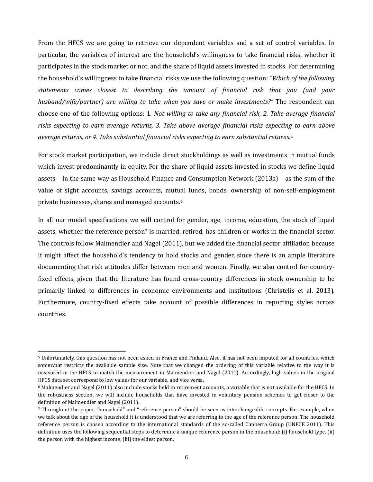From the HFCS we are going to retrieve our dependent variables and a set of control variables. In particular, the variables of interest are the household's willingness to take financial risks, whether it participates in the stock market or not, and the share of liquid assets invested in stocks. For determining the household's willingness to take financial risks we use the following question: *"Which of the following statements comes closest to describing the amount of financial risk that you (and your husband/wife/partner) are willing to take when you save or make investments?"* The respondent can choose one of the following options: 1*. Not willing to take any financial risk, 2. Take average financial risks expecting to earn average returns, 3. Take above average financial risks expecting to earn above average returns, or 4. Take substantial financial risks expecting to earn substantial returns.[5](#page-9-0)*

For stock market participation, we include direct stockholdings as well as investments in mutual funds which invest predominantly in equity. For the share of liquid assets invested in stocks we define liquid assets – in the same way as Household Finance and Consumption Network (2013a) – as the sum of the value of sight accounts, savings accounts, mutual funds, bonds, ownership of non-self-employment private businesses, shares and managed accounts.[6](#page-9-1)

In all our model specifications we will control for gender, age, income, education, the stock of liquid assets, whether the reference person<sup>[7](#page-9-2)</sup> is married, retired, has children or works in the financial sector. The controls follow Malmendier and Nagel (2011), but we added the financial sector affiliation because it might affect the household's tendency to hold stocks and gender, since there is an ample literature documenting that risk attitudes differ between men and women. Finally, we also control for countryfixed effects, given that the literature has found cross-country differences in stock ownership to be primarily linked to differences in economic environments and institutions (Christelis et al. 2013). Furthermore, country-fixed effects take account of possible differences in reporting styles across countries.

 $\overline{a}$ 

<span id="page-9-0"></span><sup>5</sup> Unfortunately, this question has not been asked in France and Finland. Also, it has not been imputed for all countries, which somewhat restricts the available sample size. Note that we changed the ordering of this variable relative to the way it is measured in the HFCS to match the measurement in Malmendier and Nagel (2011). Accordingly, high values in the original HFCS data set correspond to low values for our variable, and vice versa.

<span id="page-9-1"></span><sup>6</sup> Malmendier and Nagel (2011) also include stocks held in retirement accounts, a variable that is not available for the HFCS. In the robustness section, we will include households that have invested in voluntary pension schemes to get closer to the definition of Malmendier and Nagel (2011).

<span id="page-9-2"></span><sup>7</sup> Throughout the paper, "household" and "reference person" should be seen as interchangeable concepts. For example, when we talk about the age of the household it is understood that we are referring to the age of the reference person. The household reference person is chosen according to the international standards of the so-called Canberra Group (UNECE 2011). This definition uses the following sequential steps to determine a unique reference person in the household: (i) household type, (ii) the person with the highest income, (iii) the eldest person.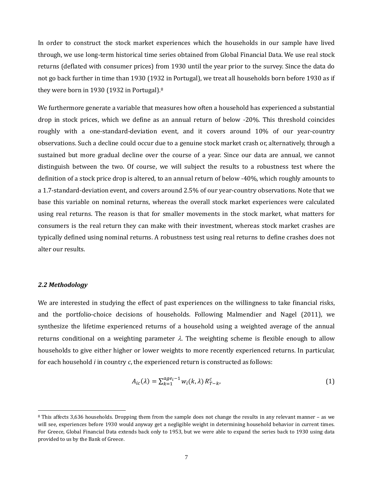In order to construct the stock market experiences which the households in our sample have lived through, we use long-term historical time series obtained from Global Financial Data. We use real stock returns (deflated with consumer prices) from 1930 until the year prior to the survey. Since the data do not go back further in time than 1930 (1932 in Portugal), we treat all households born before 1930 as if they were born in 1930 (1932 in Portugal).[8](#page-10-0)

We furthermore generate a variable that measures how often a household has experienced a substantial drop in stock prices, which we define as an annual return of below -20%. This threshold coincides roughly with a one-standard-deviation event, and it covers around 10% of our year-country observations. Such a decline could occur due to a genuine stock market crash or, alternatively, through a sustained but more gradual decline over the course of a year. Since our data are annual, we cannot distinguish between the two. Of course, we will subject the results to a robustness test where the definition of a stock price drop is altered, to an annual return of below -40%, which roughly amounts to a 1.7-standard-deviation event, and covers around 2.5% of our year-country observations. Note that we base this variable on nominal returns, whereas the overall stock market experiences were calculated using real returns. The reason is that for smaller movements in the stock market, what matters for consumers is the real return they can make with their investment, whereas stock market crashes are typically defined using nominal returns. A robustness test using real returns to define crashes does not alter our results.

#### *2.2 Methodology*

 $\overline{a}$ 

We are interested in studying the effect of past experiences on the willingness to take financial risks, and the portfolio-choice decisions of households. Following Malmendier and Nagel (2011), we synthesize the lifetime experienced returns of a household using a weighted average of the annual returns conditional on a weighting parameter  $\lambda$ . The weighting scheme is flexible enough to allow households to give either higher or lower weights to more recently experienced returns. In particular, for each household *i* in country *c*, the experienced return is constructed as follows:

$$
A_{ic}(\lambda) = \sum_{k=1}^{age_i - 1} w_i(k, \lambda) R_{T-k}^c,
$$
\n<sup>(1)</sup>

<span id="page-10-0"></span><sup>8</sup> This affects 3,636 households. Dropping them from the sample does not change the results in any relevant manner – as we will see, experiences before 1930 would anyway get a negligible weight in determining household behavior in current times. For Greece, Global Financial Data extends back only to 1953, but we were able to expand the series back to 1930 using data provided to us by the Bank of Greece.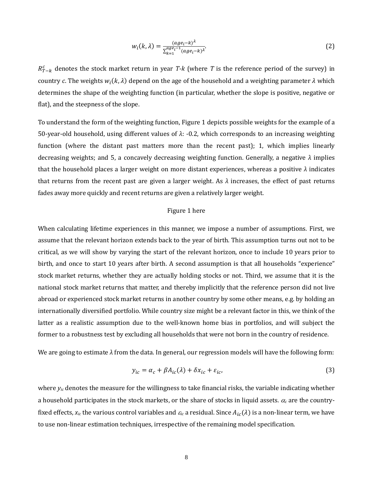$$
w_i(k,\lambda) = \frac{(age_i - k)^{\lambda}}{\sum_{k=1}^{age_i - 1} (age_i - k)^{\lambda}}.
$$
\n(2)

 $R_{T-k}^c$  denotes the stock market return in year *T*-k (where *T* is the reference period of the survey) in country *c*. The weights  $w_i(k, \lambda)$  depend on the age of the household and a weighting parameter  $\lambda$  which determines the shape of the weighting function (in particular, whether the slope is positive, negative or flat), and the steepness of the slope.

To understand the form of the weighting function, Figure 1 depicts possible weights for the example of a 50-year-old household, using different values of *λ*: -0.2, which corresponds to an increasing weighting function (where the distant past matters more than the recent past); 1, which implies linearly decreasing weights; and 5, a concavely decreasing weighting function. Generally, a negative *λ* implies that the household places a larger weight on more distant experiences, whereas a positive *λ* indicates that returns from the recent past are given a larger weight. As  $\lambda$  increases, the effect of past returns fades away more quickly and recent returns are given a relatively larger weight.

#### Figure 1 here

When calculating lifetime experiences in this manner, we impose a number of assumptions. First, we assume that the relevant horizon extends back to the year of birth. This assumption turns out not to be critical, as we will show by varying the start of the relevant horizon, once to include 10 years prior to birth, and once to start 10 years after birth. A second assumption is that all households "experience" stock market returns, whether they are actually holding stocks or not. Third, we assume that it is the national stock market returns that matter, and thereby implicitly that the reference person did not live abroad or experienced stock market returns in another country by some other means, e.g. by holding an internationally diversified portfolio. While country size might be a relevant factor in this, we think of the latter as a realistic assumption due to the well-known home bias in portfolios, and will subject the former to a robustness test by excluding all households that were not born in the country of residence.

We are going to estimate *λ* from the data. In general, our regression models will have the following form:

$$
y_{ic} = \alpha_c + \beta A_{ic}(\lambda) + \delta x_{ic} + \varepsilon_{ic},\tag{3}
$$

where *yic* denotes the measure for the willingness to take financial risks, the variable indicating whether a household participates in the stock markets, or the share of stocks in liquid assets.  $\alpha_c$  are the countryfixed effects,  $x_{ic}$  the various control variables and  $\varepsilon_{ic}$  a residual. Since  $A_{ic}(\lambda)$  is a non-linear term, we have to use non-linear estimation techniques, irrespective of the remaining model specification.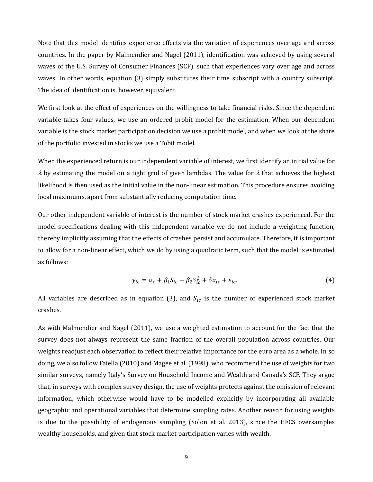Note that this model identifies experience effects via the variation of experiences over age and across countries. In the paper by Malmendier and Nagel (2011), identification was achieved by using several waves of the U.S. Survey of Consumer Finances (SCF), such that experiences vary over age and across waves. In other words, equation (3) simply substitutes their time subscript with a country subscript. The idea of identification is, however, equivalent.

We first look at the effect of experiences on the willingness to take financial risks. Since the dependent variable takes four values, we use an ordered probit model for the estimation. When our dependent variable is the stock market participation decision we use a probit model, and when we look at the share of the portfolio invested in stocks we use a Tobit model.

When the experienced return is our independent variable of interest, we first identify an initial value for  $\lambda$  by estimating the model on a tight grid of given lambdas. The value for  $\lambda$  that achieves the highest likelihood is then used as the initial value in the non-linear estimation. This procedure ensures avoiding local maximums, apart from substantially reducing computation time.

Our other independent variable of interest is the number of stock market crashes experienced. For the model specifications dealing with this independent variable we do not include a weighting function, thereby implicitly assuming that the effects of crashes persist and accumulate. Therefore, it is important to allow for a non-linear effect, which we do by using a quadratic term, such that the model is estimated as follows:

$$
y_{ic} = \alpha_c + \beta_1 S_{ic} + \beta_2 S_{ic}^2 + \delta x_{ic} + \varepsilon_{ic}.
$$
\n(4)

All variables are described as in equation (3), and  $S_{ic}$  is the number of experienced stock market crashes.

As with Malmendier and Nagel (2011), we use a weighted estimation to account for the fact that the survey does not always represent the same fraction of the overall population across countries. Our weights readjust each observation to reflect their relative importance for the euro area as a whole. In so doing, we also follow Faiella (2010) and Magee et al. (1998), who recommend the use of weights for two similar surveys, namely Italy's Survey on Household Income and Wealth and Canada's SCF. They argue that, in surveys with complex survey design, the use of weights protects against the omission of relevant information, which otherwise would have to be modelled explicitly by incorporating all available geographic and operational variables that determine sampling rates. Another reason for using weights is due to the possibility of endogenous sampling (Solon et al. 2013), since the HFCS oversamples wealthy households, and given that stock market participation varies with wealth.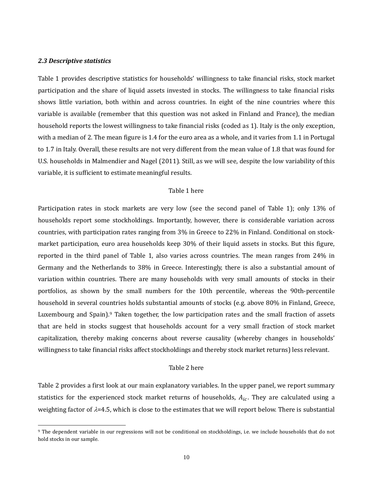#### *2.3 Descriptive statistics*

 $\overline{a}$ 

Table 1 provides descriptive statistics for households' willingness to take financial risks, stock market participation and the share of liquid assets invested in stocks. The willingness to take financial risks shows little variation, both within and across countries. In eight of the nine countries where this variable is available (remember that this question was not asked in Finland and France), the median household reports the lowest willingness to take financial risks (coded as 1). Italy is the only exception, with a median of 2. The mean figure is 1.4 for the euro area as a whole, and it varies from 1.1 in Portugal to 1.7 in Italy. Overall, these results are not very different from the mean value of 1.8 that was found for U.S. households in Malmendier and Nagel (2011). Still, as we will see, despite the low variability of this variable, it is sufficient to estimate meaningful results.

#### Table 1 here

Participation rates in stock markets are very low (see the second panel of Table 1); only 13% of households report some stockholdings. Importantly, however, there is considerable variation across countries, with participation rates ranging from 3% in Greece to 22% in Finland. Conditional on stockmarket participation, euro area households keep 30% of their liquid assets in stocks. But this figure, reported in the third panel of Table 1, also varies across countries. The mean ranges from 24% in Germany and the Netherlands to 38% in Greece. Interestingly, there is also a substantial amount of variation within countries. There are many households with very small amounts of stocks in their portfolios, as shown by the small numbers for the 10th percentile, whereas the 90th-percentile household in several countries holds substantial amounts of stocks (e.g. above 80% in Finland, Greece, Luxembourg and Spain).[9](#page-13-0) Taken together, the low participation rates and the small fraction of assets that are held in stocks suggest that households account for a very small fraction of stock market capitalization, thereby making concerns about reverse causality (whereby changes in households' willingness to take financial risks affect stockholdings and thereby stock market returns) less relevant.

#### Table 2 here

Table 2 provides a first look at our main explanatory variables. In the upper panel, we report summary statistics for the experienced stock market returns of households,  $A_{ic}$ . They are calculated using a weighting factor of  $\lambda$ =4.5, which is close to the estimates that we will report below. There is substantial

<span id="page-13-0"></span><sup>&</sup>lt;sup>9</sup> The dependent variable in our regressions will not be conditional on stockholdings, i.e. we include households that do not hold stocks in our sample.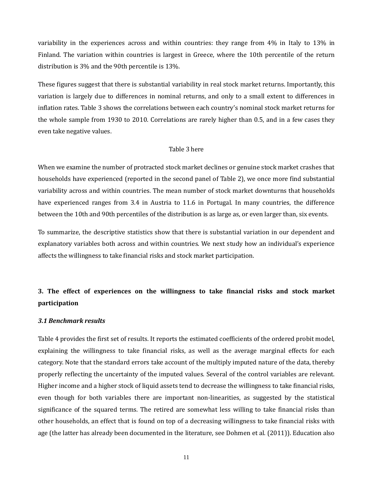variability in the experiences across and within countries: they range from 4% in Italy to 13% in Finland. The variation within countries is largest in Greece, where the 10th percentile of the return distribution is 3% and the 90th percentile is 13%.

These figures suggest that there is substantial variability in real stock market returns. Importantly, this variation is largely due to differences in nominal returns, and only to a small extent to differences in inflation rates. Table 3 shows the correlations between each country's nominal stock market returns for the whole sample from 1930 to 2010. Correlations are rarely higher than 0.5, and in a few cases they even take negative values.

#### Table 3 here

When we examine the number of protracted stock market declines or genuine stock market crashes that households have experienced (reported in the second panel of Table 2), we once more find substantial variability across and within countries. The mean number of stock market downturns that households have experienced ranges from 3.4 in Austria to 11.6 in Portugal. In many countries, the difference between the 10th and 90th percentiles of the distribution is as large as, or even larger than, six events.

To summarize, the descriptive statistics show that there is substantial variation in our dependent and explanatory variables both across and within countries. We next study how an individual's experience affects the willingness to take financial risks and stock market participation.

## **3. The effect of experiences on the willingness to take financial risks and stock market participation**

#### *3.1 Benchmark results*

Table 4 provides the first set of results. It reports the estimated coefficients of the ordered probit model, explaining the willingness to take financial risks, as well as the average marginal effects for each category. Note that the standard errors take account of the multiply imputed nature of the data, thereby properly reflecting the uncertainty of the imputed values. Several of the control variables are relevant. Higher income and a higher stock of liquid assets tend to decrease the willingness to take financial risks, even though for both variables there are important non-linearities, as suggested by the statistical significance of the squared terms. The retired are somewhat less willing to take financial risks than other households, an effect that is found on top of a decreasing willingness to take financial risks with age (the latter has already been documented in the literature, see Dohmen et al. (2011)). Education also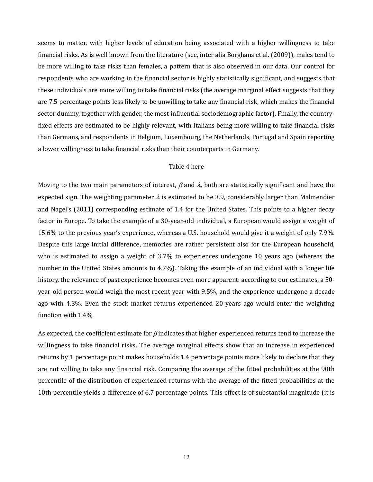seems to matter, with higher levels of education being associated with a higher willingness to take financial risks. As is well known from the literature (see, inter alia Borghans et al. (2009)), males tend to be more willing to take risks than females, a pattern that is also observed in our data. Our control for respondents who are working in the financial sector is highly statistically significant, and suggests that these individuals are more willing to take financial risks (the average marginal effect suggests that they are 7.5 percentage points less likely to be unwilling to take any financial risk, which makes the financial sector dummy, together with gender, the most influential sociodemographic factor). Finally, the countryfixed effects are estimated to be highly relevant, with Italians being more willing to take financial risks than Germans, and respondents in Belgium, Luxembourg, the Netherlands, Portugal and Spain reporting a lower willingness to take financial risks than their counterparts in Germany.

#### Table 4 here

Moving to the two main parameters of interest,  $\beta$  and  $\lambda$ , both are statistically significant and have the expected sign. The weighting parameter  $\lambda$  is estimated to be 3.9, considerably larger than Malmendier and Nagel's (2011) corresponding estimate of 1.4 for the United States. This points to a higher decay factor in Europe. To take the example of a 30-year-old individual, a European would assign a weight of 15.6% to the previous year's experience, whereas a U.S. household would give it a weight of only 7.9%. Despite this large initial difference, memories are rather persistent also for the European household, who is estimated to assign a weight of 3.7% to experiences undergone 10 years ago (whereas the number in the United States amounts to 4.7%). Taking the example of an individual with a longer life history, the relevance of past experience becomes even more apparent: according to our estimates, a 50 year-old person would weigh the most recent year with 9.5%, and the experience undergone a decade ago with 4.3%. Even the stock market returns experienced 20 years ago would enter the weighting function with 1.4%.

As expected, the coefficient estimate for  $\beta$  indicates that higher experienced returns tend to increase the willingness to take financial risks. The average marginal effects show that an increase in experienced returns by 1 percentage point makes households 1.4 percentage points more likely to declare that they are not willing to take any financial risk. Comparing the average of the fitted probabilities at the 90th percentile of the distribution of experienced returns with the average of the fitted probabilities at the 10th percentile yields a difference of 6.7 percentage points. This effect is of substantial magnitude (it is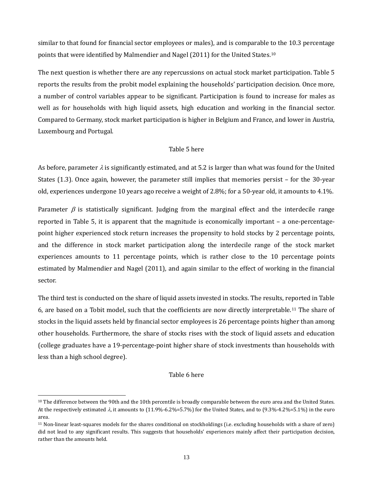similar to that found for financial sector employees or males), and is comparable to the 10.3 percentage points that were identified by Malmendier and Nagel (2011) for the United States.[10](#page-16-0)

The next question is whether there are any repercussions on actual stock market participation. Table 5 reports the results from the probit model explaining the households' participation decision. Once more, a number of control variables appear to be significant. Participation is found to increase for males as well as for households with high liquid assets, high education and working in the financial sector. Compared to Germany, stock market participation is higher in Belgium and France, and lower in Austria, Luxembourg and Portugal.

#### Table 5 here

As before, parameter  $\lambda$  is significantly estimated, and at 5.2 is larger than what was found for the United States (1.3). Once again, however, the parameter still implies that memories persist – for the 30-year old, experiences undergone 10 years ago receive a weight of 2.8%; for a 50-year old, it amounts to 4.1%.

Parameter  $\beta$  is statistically significant. Judging from the marginal effect and the interdecile range reported in Table 5, it is apparent that the magnitude is economically important – a one-percentagepoint higher experienced stock return increases the propensity to hold stocks by 2 percentage points, and the difference in stock market participation along the interdecile range of the stock market experiences amounts to 11 percentage points, which is rather close to the 10 percentage points estimated by Malmendier and Nagel (2011), and again similar to the effect of working in the financial sector.

The third test is conducted on the share of liquid assets invested in stocks. The results, reported in Table 6, are based on a Tobit model, such that the coefficients are now directly interpretable.[11](#page-16-1) The share of stocks in the liquid assets held by financial sector employees is 26 percentage points higher than among other households. Furthermore, the share of stocks rises with the stock of liquid assets and education (college graduates have a 19-percentage-point higher share of stock investments than households with less than a high school degree).

#### Table 6 here

 $\overline{a}$ 

<span id="page-16-0"></span><sup>&</sup>lt;sup>10</sup> The difference between the 90th and the 10th percentile is broadly comparable between the euro area and the United States. At the respectively estimated  $\lambda$ , it amounts to (11.9%-6.2%=5.7%) for the United States, and to (9.3%-4.2%=5.1%) in the euro area.

<span id="page-16-1"></span><sup>11</sup> Non-linear least-squares models for the shares conditional on stockholdings (i.e. excluding households with a share of zero) did not lead to any significant results. This suggests that households' experiences mainly affect their participation decision, rather than the amounts held.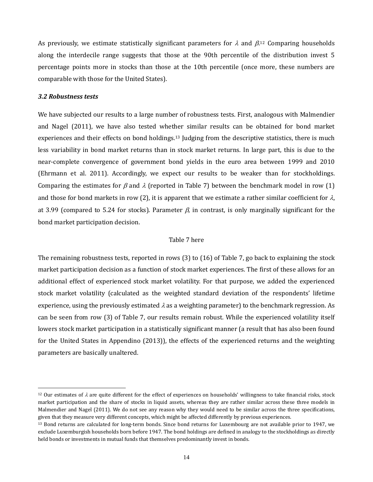As previously, we estimate statistically significant parameters for  $\lambda$  and  $\beta$ .<sup>[12](#page-17-0)</sup> Comparing households along the interdecile range suggests that those at the 90th percentile of the distribution invest 5 percentage points more in stocks than those at the 10th percentile (once more, these numbers are comparable with those for the United States).

#### *3.2 Robustness tests*

 $\overline{a}$ 

We have subjected our results to a large number of robustness tests. First, analogous with Malmendier and Nagel (2011), we have also tested whether similar results can be obtained for bond market experiences and their effects on bond holdings.<sup>[13](#page-17-1)</sup> Judging from the descriptive statistics, there is much less variability in bond market returns than in stock market returns. In large part, this is due to the near-complete convergence of government bond yields in the euro area between 1999 and 2010 (Ehrmann et al. 2011). Accordingly, we expect our results to be weaker than for stockholdings. Comparing the estimates for  $\beta$  and  $\lambda$  (reported in Table 7) between the benchmark model in row (1) and those for bond markets in row (2), it is apparent that we estimate a rather similar coefficient for  $\lambda$ , at 3.99 (compared to 5.24 for stocks). Parameter  $\beta$ , in contrast, is only marginally significant for the bond market participation decision.

#### Table 7 here

The remaining robustness tests, reported in rows (3) to (16) of Table 7, go back to explaining the stock market participation decision as a function of stock market experiences. The first of these allows for an additional effect of experienced stock market volatility. For that purpose, we added the experienced stock market volatility (calculated as the weighted standard deviation of the respondents' lifetime experience, using the previously estimated  $\lambda$  as a weighting parameter) to the benchmark regression. As can be seen from row (3) of Table 7, our results remain robust. While the experienced volatility itself lowers stock market participation in a statistically significant manner (a result that has also been found for the United States in Appendino (2013)), the effects of the experienced returns and the weighting parameters are basically unaltered.

<span id="page-17-0"></span><sup>&</sup>lt;sup>12</sup> Our estimates of  $\lambda$  are quite different for the effect of experiences on households' willingness to take financial risks, stock market participation and the share of stocks in liquid assets, whereas they are rather similar across these three models in Malmendier and Nagel (2011). We do not see any reason why they would need to be similar across the three specifications, given that they measure very different concepts, which might be affected differently by previous experiences.

<span id="page-17-1"></span><sup>13</sup> Bond returns are calculated for long-term bonds. Since bond returns for Luxembourg are not available prior to 1947, we exclude Luxemburgish households born before 1947. The bond holdings are defined in analogy to the stockholdings as directly held bonds or investments in mutual funds that themselves predominantly invest in bonds.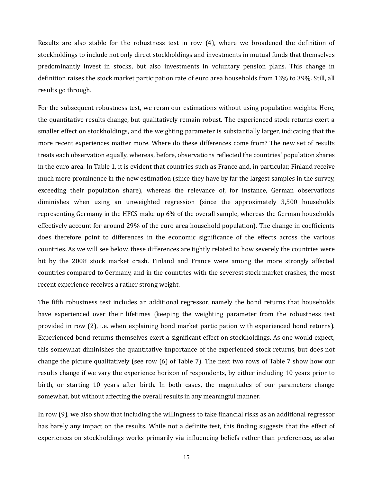Results are also stable for the robustness test in row (4), where we broadened the definition of stockholdings to include not only direct stockholdings and investments in mutual funds that themselves predominantly invest in stocks, but also investments in voluntary pension plans. This change in definition raises the stock market participation rate of euro area households from 13% to 39%. Still, all results go through.

For the subsequent robustness test, we reran our estimations without using population weights. Here, the quantitative results change, but qualitatively remain robust. The experienced stock returns exert a smaller effect on stockholdings, and the weighting parameter is substantially larger, indicating that the more recent experiences matter more. Where do these differences come from? The new set of results treats each observation equally, whereas, before, observations reflected the countries' population shares in the euro area. In Table 1, it is evident that countries such as France and, in particular, Finland receive much more prominence in the new estimation (since they have by far the largest samples in the survey, exceeding their population share), whereas the relevance of, for instance, German observations diminishes when using an unweighted regression (since the approximately 3,500 households representing Germany in the HFCS make up 6% of the overall sample, whereas the German households effectively account for around 29% of the euro area household population). The change in coefficients does therefore point to differences in the economic significance of the effects across the various countries. As we will see below, these differences are tightly related to how severely the countries were hit by the 2008 stock market crash. Finland and France were among the more strongly affected countries compared to Germany, and in the countries with the severest stock market crashes, the most recent experience receives a rather strong weight.

The fifth robustness test includes an additional regressor, namely the bond returns that households have experienced over their lifetimes (keeping the weighting parameter from the robustness test provided in row (2), i.e. when explaining bond market participation with experienced bond returns). Experienced bond returns themselves exert a significant effect on stockholdings. As one would expect, this somewhat diminishes the quantitative importance of the experienced stock returns, but does not change the picture qualitatively (see row (6) of Table 7). The next two rows of Table 7 show how our results change if we vary the experience horizon of respondents, by either including 10 years prior to birth, or starting 10 years after birth. In both cases, the magnitudes of our parameters change somewhat, but without affecting the overall results in any meaningful manner.

In row (9), we also show that including the willingness to take financial risks as an additional regressor has barely any impact on the results. While not a definite test, this finding suggests that the effect of experiences on stockholdings works primarily via influencing beliefs rather than preferences, as also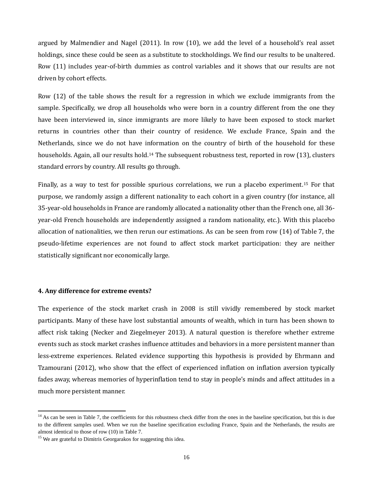argued by Malmendier and Nagel (2011). In row (10), we add the level of a household's real asset holdings, since these could be seen as a substitute to stockholdings. We find our results to be unaltered. Row (11) includes year-of-birth dummies as control variables and it shows that our results are not driven by cohort effects.

Row (12) of the table shows the result for a regression in which we exclude immigrants from the sample. Specifically, we drop all households who were born in a country different from the one they have been interviewed in, since immigrants are more likely to have been exposed to stock market returns in countries other than their country of residence. We exclude France, Spain and the Netherlands, since we do not have information on the country of birth of the household for these households. Again, all our results hold.<sup>[14](#page-19-0)</sup> The subsequent robustness test, reported in row (13), clusters standard errors by country. All results go through.

Finally, as a way to test for possible spurious correlations, we run a placebo experiment.[15](#page-19-1) For that purpose, we randomly assign a different nationality to each cohort in a given country (for instance, all 35-year-old households in France are randomly allocated a nationality other than the French one, all 36 year-old French households are independently assigned a random nationality, etc.). With this placebo allocation of nationalities, we then rerun our estimations. As can be seen from row (14) of Table 7, the pseudo-lifetime experiences are not found to affect stock market participation: they are neither statistically significant nor economically large.

#### **4. Any difference for extreme events?**

The experience of the stock market crash in 2008 is still vividly remembered by stock market participants. Many of these have lost substantial amounts of wealth, which in turn has been shown to affect risk taking (Necker and Ziegelmeyer 2013). A natural question is therefore whether extreme events such as stock market crashes influence attitudes and behaviors in a more persistent manner than less-extreme experiences. Related evidence supporting this hypothesis is provided by Ehrmann and Tzamourani (2012), who show that the effect of experienced inflation on inflation aversion typically fades away, whereas memories of hyperinflation tend to stay in people's minds and affect attitudes in a much more persistent manner.

<span id="page-19-0"></span><sup>&</sup>lt;sup>14</sup> As can be seen in Table 7, the coefficients for this robustness check differ from the ones in the baseline specification, but this is due to the different samples used. When we run the baseline specification excluding France, Spain and the Netherlands, the results are almost identical to those of row (10) in Table 7.

<span id="page-19-1"></span><sup>&</sup>lt;sup>15</sup> We are grateful to Dimitris Georgarakos for suggesting this idea.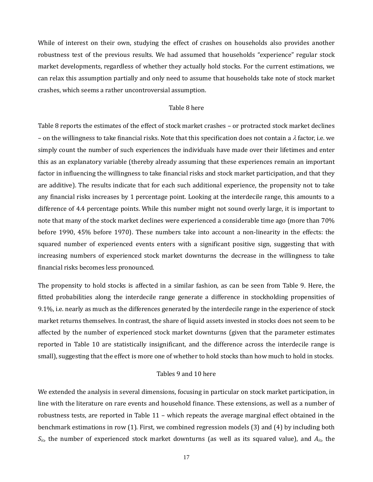While of interest on their own, studying the effect of crashes on households also provides another robustness test of the previous results. We had assumed that households "experience" regular stock market developments, regardless of whether they actually hold stocks. For the current estimations, we can relax this assumption partially and only need to assume that households take note of stock market crashes, which seems a rather uncontroversial assumption.

#### Table 8 here

Table 8 reports the estimates of the effect of stock market crashes – or protracted stock market declines – on the willingness to take financial risks. Note that this specification does not contain a  $\lambda$  factor, i.e. we simply count the number of such experiences the individuals have made over their lifetimes and enter this as an explanatory variable (thereby already assuming that these experiences remain an important factor in influencing the willingness to take financial risks and stock market participation, and that they are additive). The results indicate that for each such additional experience, the propensity not to take any financial risks increases by 1 percentage point. Looking at the interdecile range, this amounts to a difference of 4.4 percentage points. While this number might not sound overly large, it is important to note that many of the stock market declines were experienced a considerable time ago (more than 70% before 1990, 45% before 1970). These numbers take into account a non-linearity in the effects: the squared number of experienced events enters with a significant positive sign, suggesting that with increasing numbers of experienced stock market downturns the decrease in the willingness to take financial risks becomes less pronounced.

The propensity to hold stocks is affected in a similar fashion, as can be seen from Table 9. Here, the fitted probabilities along the interdecile range generate a difference in stockholding propensities of 9.1%, i.e. nearly as much as the differences generated by the interdecile range in the experience of stock market returns themselves. In contrast, the share of liquid assets invested in stocks does not seem to be affected by the number of experienced stock market downturns (given that the parameter estimates reported in Table 10 are statistically insignificant, and the difference across the interdecile range is small), suggesting that the effect is more one of whether to hold stocks than how much to hold in stocks.

#### Tables 9 and 10 here

We extended the analysis in several dimensions, focusing in particular on stock market participation, in line with the literature on rare events and household finance. These extensions, as well as a number of robustness tests, are reported in Table 11 – which repeats the average marginal effect obtained in the benchmark estimations in row (1). First, we combined regression models (3) and (4) by including both *Sic*, the number of experienced stock market downturns (as well as its squared value), and *Aic*, the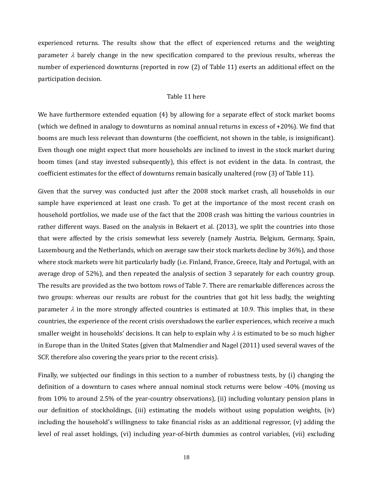experienced returns. The results show that the effect of experienced returns and the weighting parameter  $\lambda$  barely change in the new specification compared to the previous results, whereas the number of experienced downturns (reported in row (2) of Table 11) exerts an additional effect on the participation decision.

#### Table 11 here

We have furthermore extended equation (4) by allowing for a separate effect of stock market booms (which we defined in analogy to downturns as nominal annual returns in excess of +20%). We find that booms are much less relevant than downturns (the coefficient, not shown in the table, is insignificant). Even though one might expect that more households are inclined to invest in the stock market during boom times (and stay invested subsequently), this effect is not evident in the data. In contrast, the coefficient estimates for the effect of downturns remain basically unaltered (row (3) of Table 11).

Given that the survey was conducted just after the 2008 stock market crash, all households in our sample have experienced at least one crash. To get at the importance of the most recent crash on household portfolios, we made use of the fact that the 2008 crash was hitting the various countries in rather different ways. Based on the analysis in Bekaert et al. (2013), we split the countries into those that were affected by the crisis somewhat less severely (namely Austria, Belgium, Germany, Spain, Luxembourg and the Netherlands, which on average saw their stock markets decline by 36%), and those where stock markets were hit particularly badly (i.e. Finland, France, Greece, Italy and Portugal, with an average drop of 52%), and then repeated the analysis of section 3 separately for each country group. The results are provided as the two bottom rows of Table 7. There are remarkable differences across the two groups: whereas our results are robust for the countries that got hit less badly, the weighting parameter  $\lambda$  in the more strongly affected countries is estimated at 10.9. This implies that, in these countries, the experience of the recent crisis overshadows the earlier experiences, which receive a much smaller weight in households' decisions. It can help to explain why  $\lambda$  is estimated to be so much higher in Europe than in the United States (given that Malmendier and Nagel (2011) used several waves of the SCF, therefore also covering the years prior to the recent crisis).

Finally, we subjected our findings in this section to a number of robustness tests, by (i) changing the definition of a downturn to cases where annual nominal stock returns were below -40% (moving us from 10% to around 2.5% of the year-country observations), (ii) including voluntary pension plans in our definition of stockholdings, (iii) estimating the models without using population weights, (iv) including the household's willingness to take financial risks as an additional regressor, (v) adding the level of real asset holdings, (vi) including year-of-birth dummies as control variables, (vii) excluding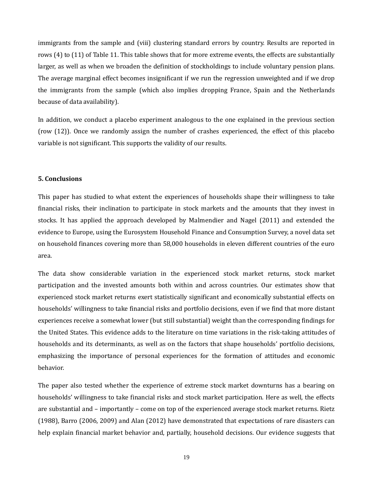immigrants from the sample and (viii) clustering standard errors by country. Results are reported in rows (4) to (11) of Table 11. This table shows that for more extreme events, the effects are substantially larger, as well as when we broaden the definition of stockholdings to include voluntary pension plans. The average marginal effect becomes insignificant if we run the regression unweighted and if we drop the immigrants from the sample (which also implies dropping France, Spain and the Netherlands because of data availability).

In addition, we conduct a placebo experiment analogous to the one explained in the previous section (row (12)). Once we randomly assign the number of crashes experienced, the effect of this placebo variable is not significant. This supports the validity of our results.

#### **5. Conclusions**

This paper has studied to what extent the experiences of households shape their willingness to take financial risks, their inclination to participate in stock markets and the amounts that they invest in stocks. It has applied the approach developed by Malmendier and Nagel (2011) and extended the evidence to Europe, using the Eurosystem Household Finance and Consumption Survey, a novel data set on household finances covering more than 58,000 households in eleven different countries of the euro area.

The data show considerable variation in the experienced stock market returns, stock market participation and the invested amounts both within and across countries. Our estimates show that experienced stock market returns exert statistically significant and economically substantial effects on households' willingness to take financial risks and portfolio decisions, even if we find that more distant experiences receive a somewhat lower (but still substantial) weight than the corresponding findings for the United States. This evidence adds to the literature on time variations in the risk-taking attitudes of households and its determinants, as well as on the factors that shape households' portfolio decisions, emphasizing the importance of personal experiences for the formation of attitudes and economic behavior.

The paper also tested whether the experience of extreme stock market downturns has a bearing on households' willingness to take financial risks and stock market participation. Here as well, the effects are substantial and – importantly – come on top of the experienced average stock market returns. Rietz (1988), Barro (2006, 2009) and Alan (2012) have demonstrated that expectations of rare disasters can help explain financial market behavior and, partially, household decisions. Our evidence suggests that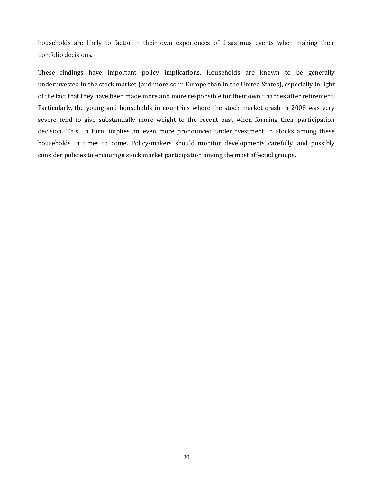households are likely to factor in their own experiences of disastrous events when making their portfolio decisions.

These findings have important policy implications. Households are known to be generally underinvested in the stock market (and more so in Europe than in the United States), especially in light of the fact that they have been made more and more responsible for their own finances after retirement. Particularly, the young and households in countries where the stock market crash in 2008 was very severe tend to give substantially more weight to the recent past when forming their participation decision. This, in turn, implies an even more pronounced underinvestment in stocks among these households in times to come. Policy-makers should monitor developments carefully, and possibly consider policies to encourage stock market participation among the most affected groups.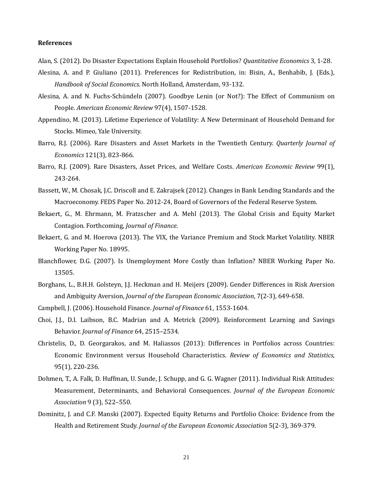#### **References**

Alan, S. (2012). Do Disaster Expectations Explain Household Portfolios? *Quantitative Economics* 3, 1-28.

- Alesina, A. and P. Giuliano (2011). Preferences for Redistribution, in: Bisin, A., Benhabib, J. (Eds.), *Handbook of Social Economics*. North Holland, Amsterdam, 93-132.
- Alesina, A. and N. Fuchs-Schündeln (2007). Goodbye Lenin (or Not?): The Effect of Communism on People. *American Economic Review* 97(4), 1507-1528.
- Appendino, M. (2013). Lifetime Experience of Volatility: A New Determinant of Household Demand for Stocks. Mimeo, Yale University.
- Barro, R.J. (2006). Rare Disasters and Asset Markets in the Twentieth Century. *Quarterly Journal of Economics* 121(3), 823-866.
- Barro, R.J. (2009). Rare Disasters, Asset Prices, and Welfare Costs. *American Economic Review* 99(1), 243-264.
- Bassett, W., M. Chosak, J.C. Driscoll and E. Zakrajsek (2012). Changes in Bank Lending Standards and the Macroeconomy. FEDS Paper No. 2012-24, Board of Governors of the Federal Reserve System.
- Bekaert, G., M. Ehrmann, M. Fratzscher and A. Mehl (2013). The Global Crisis and Equity Market Contagion. Forthcoming, *Journal of Finance*.
- Bekaert, G. and M. Hoerova (2013). The VIX, the Variance Premium and Stock Market Volatility. NBER Working Paper No. 18995.
- Blanchflower, D.G. (2007). Is Unemployment More Costly than Inflation? NBER Working Paper No. 13505.
- Borghans, L., B.H.H. Golsteyn, J.J. Heckman and H. Meijers (2009). Gender Differences in Risk Aversion and Ambiguity Aversion, *Journal of the European Economic Association*, 7(2-3), 649-658.
- Campbell, J. (2006). Household Finance. *Journal of Finance* 61, 1553-1604.
- Choi, J.J., D.I. Laibson, B.C. Madrian and A. Metrick (2009). Reinforcement Learning and Savings Behavior. *Journal of Finance* 64, 2515–2534.
- Christelis, D., D. Georgarakos, and M. Haliassos (2013): Differences in Portfolios across Countries: Economic Environment versus Household Characteristics. *Review of Economics and Statistics*, 95(1), 220-236.
- Dohmen, T., A. Falk, D. Huffman, U. Sunde, J. Schupp, and G. G. Wagner (2011). Individual Risk Attitudes: Measurement, Determinants, and Behavioral Consequences. *Journal of the European Economic Association* 9 (3), 522–550.
- Dominitz, J. and C.F. Manski (2007). Expected Equity Returns and Portfolio Choice: Evidence from the Health and Retirement Study. *Journal of the European Economic Association* 5(2-3), 369-379.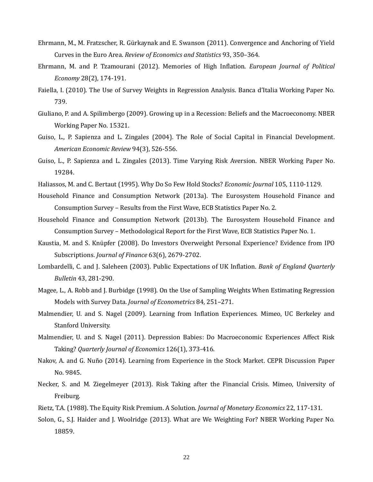- Ehrmann, M., M. Fratzscher, R. Gürkaynak and E. Swanson (2011). Convergence and Anchoring of Yield Curves in the Euro Area. *Review of Economics and Statistics* 93, 350–364.
- Ehrmann, M. and P. Tzamourani (2012). Memories of High Inflation. *European Journal of Political Economy* 28(2), 174-191.
- Faiella, I. (2010). The Use of Survey Weights in Regression Analysis. Banca d'Italia Working Paper No. 739.
- Giuliano, P. and A. Spilimbergo (2009). Growing up in a Recession: Beliefs and the Macroeconomy. NBER Working Paper No. 15321.
- Guiso, L., P. Sapienza and L. Zingales (2004). The Role of Social Capital in Financial Development. *American Economic Review* 94(3), 526-556.
- Guiso, L., P. Sapienza and L. Zingales (2013). Time Varying Risk Aversion. NBER Working Paper No. 19284.
- Haliassos, M. and C. Bertaut (1995). Why Do So Few Hold Stocks? *Economic Journal* 105, 1110-1129.
- Household Finance and Consumption Network (2013a). The Eurosystem Household Finance and Consumption Survey – Results from the First Wave, ECB Statistics Paper No. 2.
- Household Finance and Consumption Network (2013b). The Eurosystem Household Finance and Consumption Survey – Methodological Report for the First Wave, ECB Statistics Paper No. 1.
- Kaustia, M. and S. Knüpfer (2008). Do Investors Overweight Personal Experience? Evidence from IPO Subscriptions. *Journal of Finance* 63(6), 2679-2702.
- Lombardelli, C. and J. Saleheen (2003). Public Expectations of UK Inflation. *Bank of England Quarterly Bulletin* 43, 281-290.
- Magee, L., A. Robb and J. Burbidge (1998). On the Use of Sampling Weights When Estimating Regression Models with Survey Data. *Journal of Econometrics* 84, 251–271.
- Malmendier, U. and S. Nagel (2009). Learning from Inflation Experiences. Mimeo, UC Berkeley and Stanford University.
- Malmendier, U. and S. Nagel (2011). Depression Babies: Do Macroeconomic Experiences Affect Risk Taking? *Quarterly Journal of Economics* 126(1), 373-416.
- Nakov, A. and G. Nuño (2014). Learning from Experience in the Stock Market. CEPR Discussion Paper No. 9845.
- Necker, S. and M. Ziegelmeyer (2013). Risk Taking after the Financial Crisis. Mimeo, University of Freiburg.
- Rietz, T.A. (1988). The Equity Risk Premium. A Solution. *Journal of Monetary Economics* 22, 117-131.
- Solon, G., S.J. Haider and J. Woolridge (2013). What are We Weighting For? NBER Working Paper No. 18859.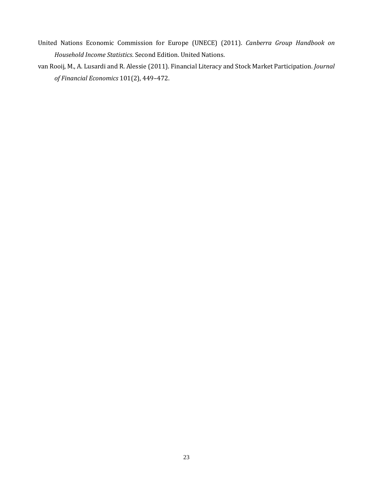- United Nations Economic Commission for Europe (UNECE) (2011). *Canberra Group Handbook on Household Income Statistics*. Second Edition. United Nations.
- van Rooij, M., A. Lusardi and R. Alessie (2011). Financial Literacy and Stock Market Participation. *Journal of Financial Economics* 101(2), 449–472.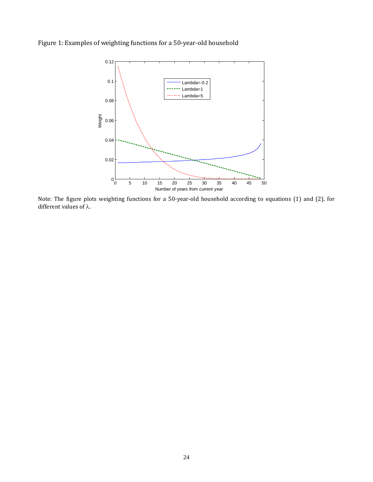



Note: The figure plots weighting functions for a 50-year-old household according to equations (1) and (2), for different values of λ.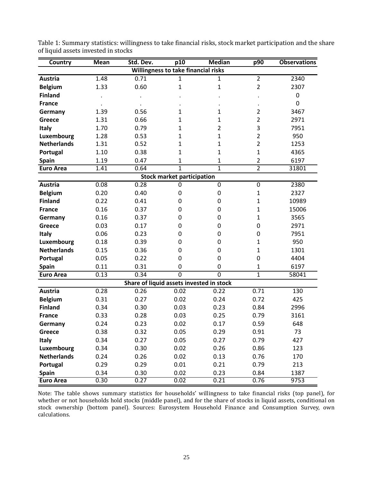| Country                             | <b>Mean</b> | Std. Dev. | p10                                      | <b>Median</b>  | p90            | <b>Observations</b> |  |  |
|-------------------------------------|-------------|-----------|------------------------------------------|----------------|----------------|---------------------|--|--|
| Willingness to take financial risks |             |           |                                          |                |                |                     |  |  |
| Austria                             | 1.48        | 0.71      | 1                                        | $\mathbf{1}$   | $\overline{2}$ | 2340                |  |  |
| <b>Belgium</b>                      | 1.33        | 0.60      | $\mathbf{1}$                             | $\mathbf 1$    | $\overline{2}$ | 2307                |  |  |
| <b>Finland</b>                      |             |           |                                          |                |                | 0                   |  |  |
| <b>France</b>                       |             |           |                                          |                |                | 0                   |  |  |
| Germany                             | 1.39        | 0.56      | 1                                        | 1              | $\overline{2}$ | 3467                |  |  |
| Greece                              | 1.31        | 0.66      | 1                                        | $\mathbf{1}$   | $\overline{2}$ | 2971                |  |  |
| Italy                               | 1.70        | 0.79      | $\mathbf{1}$                             | $\overline{2}$ | 3              | 7951                |  |  |
| Luxembourg                          | 1.28        | 0.53      | 1                                        | $\mathbf{1}$   | $\overline{2}$ | 950                 |  |  |
| <b>Netherlands</b>                  | 1.31        | 0.52      | $\mathbf{1}$                             | $\mathbf 1$    | $\overline{2}$ | 1253                |  |  |
| Portugal                            | 1.10        | 0.38      | 1                                        | $\mathbf 1$    | $\mathbf{1}$   | 4365                |  |  |
| <b>Spain</b>                        | 1.19        | 0.47      | 1                                        | $\mathbf{1}$   | $\overline{2}$ | 6197                |  |  |
| <b>Euro Area</b>                    | 1.41        | 0.64      | $\mathbf{1}$                             | $\overline{1}$ | $\overline{2}$ | 31801               |  |  |
|                                     |             |           | <b>Stock market participation</b>        |                |                |                     |  |  |
| Austria                             | 0.08        | 0.28      | 0                                        | 0              | $\mathbf 0$    | 2380                |  |  |
| <b>Belgium</b>                      | 0.20        | 0.40      | 0                                        | $\mathbf 0$    | $\mathbf{1}$   | 2327                |  |  |
| <b>Finland</b>                      | 0.22        | 0.41      | $\mathbf 0$                              | 0              | $\mathbf{1}$   | 10989               |  |  |
| <b>France</b>                       | 0.16        | 0.37      | $\mathbf 0$                              | $\mathbf 0$    | $\mathbf{1}$   | 15006               |  |  |
| Germany                             | 0.16        | 0.37      | 0                                        | 0              | $\mathbf{1}$   | 3565                |  |  |
| <b>Greece</b>                       | 0.03        | 0.17      | 0                                        | 0              | 0              | 2971                |  |  |
| Italy                               | 0.06        | 0.23      | 0                                        | 0              | 0              | 7951                |  |  |
| Luxembourg                          | 0.18        | 0.39      | $\mathbf 0$                              | 0              | $\mathbf{1}$   | 950                 |  |  |
| <b>Netherlands</b>                  | 0.15        | 0.36      | 0                                        | $\mathbf 0$    | $\mathbf{1}$   | 1301                |  |  |
| Portugal                            | 0.05        | 0.22      | 0                                        | 0              | 0              | 4404                |  |  |
| Spain                               | 0.11        | 0.31      | 0                                        | 0              | $\mathbf{1}$   | 6197                |  |  |
| <b>Euro Area</b>                    | 0.13        | 0.34      | $\overline{0}$                           | $\overline{0}$ | $\mathbf{1}$   | 58041               |  |  |
|                                     |             |           | Share of liquid assets invested in stock |                |                |                     |  |  |
| Austria                             | 0.28        | 0.26      | 0.02                                     | 0.22           | 0.71           | 130                 |  |  |
| <b>Belgium</b>                      | 0.31        | 0.27      | 0.02                                     | 0.24           | 0.72           | 425                 |  |  |
| <b>Finland</b>                      | 0.34        | 0.30      | 0.03                                     | 0.23           | 0.84           | 2996                |  |  |
| <b>France</b>                       | 0.33        | 0.28      | 0.03                                     | 0.25           | 0.79           | 3161                |  |  |
| Germany                             | 0.24        | 0.23      | 0.02                                     | 0.17           | 0.59           | 648                 |  |  |
| Greece                              | 0.38        | 0.32      | 0.05                                     | 0.29           | 0.91           | 73                  |  |  |
| <b>Italy</b>                        | 0.34        | 0.27      | 0.05                                     | 0.27           | 0.79           | 427                 |  |  |
| Luxembourg                          | 0.34        | 0.30      | 0.02                                     | 0.26           | 0.86           | 123                 |  |  |
| <b>Netherlands</b>                  | 0.24        | 0.26      | 0.02                                     | 0.13           | 0.76           | 170                 |  |  |
| Portugal                            | 0.29        | 0.29      | 0.01                                     | 0.21           | 0.79           | 213                 |  |  |
| <b>Spain</b>                        | 0.34        | 0.30      | 0.02                                     | 0.23           | 0.84           | 1387                |  |  |
| <b>Euro Area</b>                    | 0.30        | 0.27      | 0.02                                     | 0.21           | 0.76           | 9753                |  |  |

Table 1: Summary statistics: willingness to take financial risks, stock market participation and the share of liquid assets invested in stocks

Note: The table shows summary statistics for households' willingness to take financial risks (top panel), for whether or not households hold stocks (middle panel), and for the share of stocks in liquid assets, conditional on stock ownership (bottom panel). Sources: Eurosystem Household Finance and Consumption Survey, own calculations.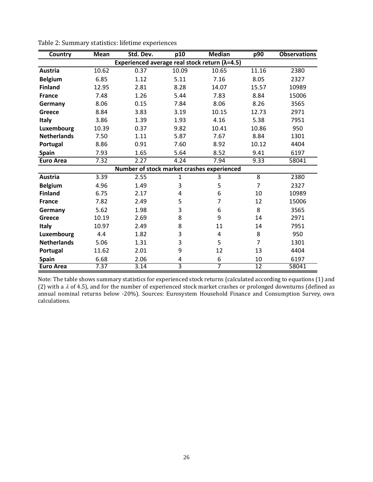| <b>Country</b>     | <b>Mean</b> | Std. Dev. | p10                     | <b>Median</b>                                           | p90             | <b>Observations</b> |
|--------------------|-------------|-----------|-------------------------|---------------------------------------------------------|-----------------|---------------------|
|                    |             |           |                         | Experienced average real stock return ( $\lambda$ =4.5) |                 |                     |
| Austria            | 10.62       | 0.37      | 10.09                   | 10.65                                                   | 11.16           | 2380                |
| <b>Belgium</b>     | 6.85        | 1.12      | 5.11                    | 7.16                                                    | 8.05            | 2327                |
| <b>Finland</b>     | 12.95       | 2.81      | 8.28                    | 14.07                                                   | 15.57           | 10989               |
| <b>France</b>      | 7.48        | 1.26      | 5.44                    | 7.83                                                    | 8.84            | 15006               |
| Germany            | 8.06        | 0.15      | 7.84                    | 8.06                                                    | 8.26            | 3565                |
| <b>Greece</b>      | 8.84        | 3.83      | 3.19                    | 10.15                                                   | 12.73           | 2971                |
| Italy              | 3.86        | 1.39      | 1.93                    | 4.16                                                    | 5.38            | 7951                |
| Luxembourg         | 10.39       | 0.37      | 9.82                    | 10.41                                                   | 10.86           | 950                 |
| <b>Netherlands</b> | 7.50        | 1.11      | 5.87                    | 7.67                                                    | 8.84            | 1301                |
| Portugal           | 8.86        | 0.91      | 7.60                    | 8.92                                                    | 10.12           | 4404                |
| <b>Spain</b>       | 7.93        | 1.65      | 5.64                    | 8.52                                                    | 9.41            | 6197                |
| <b>Euro Area</b>   | 7.32        | 2.27      | 4.24                    | 7.94                                                    | 9.33            | 58041               |
|                    |             |           |                         | Number of stock market crashes experienced              |                 |                     |
| Austria            | 3.39        | 2.55      | 1                       | 3                                                       | 8               | 2380                |
| <b>Belgium</b>     | 4.96        | 1.49      | 3                       | 5                                                       | $\overline{7}$  | 2327                |
| <b>Finland</b>     | 6.75        | 2.17      | 4                       | 6                                                       | 10              | 10989               |
| <b>France</b>      | 7.82        | 2.49      | 5                       | $\overline{7}$                                          | 12              | 15006               |
| Germany            | 5.62        | 1.98      | 3                       | 6                                                       | 8               | 3565                |
| Greece             | 10.19       | 2.69      | 8                       | 9                                                       | 14              | 2971                |
| Italy              | 10.97       | 2.49      | 8                       | 11                                                      | 14              | 7951                |
| Luxembourg         | 4.4         | 1.82      | 3                       | 4                                                       | 8               | 950                 |
| <b>Netherlands</b> | 5.06        | 1.31      | 3                       | 5                                                       | $\overline{7}$  | 1301                |
| Portugal           | 11.62       | 2.01      | 9                       | 12                                                      | 13              | 4404                |
| <b>Spain</b>       | 6.68        | 2.06      | 4                       | 6                                                       | 10              | 6197                |
| <b>Euro Area</b>   | 7.37        | 3.14      | $\overline{\mathbf{3}}$ | $\overline{7}$                                          | $\overline{12}$ | 58041               |

Table 2: Summary statistics: lifetime experiences

Note: The table shows summary statistics for experienced stock returns (calculated according to equations (1) and (2) with a  $\lambda$  of 4.5), and for the number of experienced stock market crashes or prolonged downturns (defined as annual nominal returns below -20%). Sources: Eurosystem Household Finance and Consumption Survey, own calculations.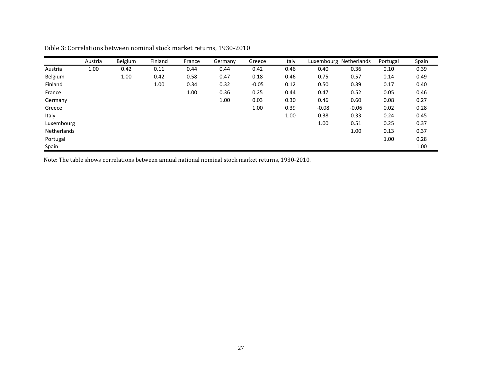|             | Austria | Belgium | Finland | France | Germany | Greece  | Italy |         | Luxembourg Netherlands | Portugal | Spain |
|-------------|---------|---------|---------|--------|---------|---------|-------|---------|------------------------|----------|-------|
| Austria     | 1.00    | 0.42    | 0.11    | 0.44   | 0.44    | 0.42    | 0.46  | 0.40    | 0.36                   | 0.10     | 0.39  |
| Belgium     |         | 1.00    | 0.42    | 0.58   | 0.47    | 0.18    | 0.46  | 0.75    | 0.57                   | 0.14     | 0.49  |
| Finland     |         |         | 1.00    | 0.34   | 0.32    | $-0.05$ | 0.12  | 0.50    | 0.39                   | 0.17     | 0.40  |
| France      |         |         |         | 1.00   | 0.36    | 0.25    | 0.44  | 0.47    | 0.52                   | 0.05     | 0.46  |
| Germany     |         |         |         |        | 1.00    | 0.03    | 0.30  | 0.46    | 0.60                   | 0.08     | 0.27  |
| Greece      |         |         |         |        |         | 1.00    | 0.39  | $-0.08$ | $-0.06$                | 0.02     | 0.28  |
| Italy       |         |         |         |        |         |         | 1.00  | 0.38    | 0.33                   | 0.24     | 0.45  |
| Luxembourg  |         |         |         |        |         |         |       | 1.00    | 0.51                   | 0.25     | 0.37  |
| Netherlands |         |         |         |        |         |         |       |         | 1.00                   | 0.13     | 0.37  |
| Portugal    |         |         |         |        |         |         |       |         |                        | 1.00     | 0.28  |
| Spain       |         |         |         |        |         |         |       |         |                        |          | 1.00  |

Table 3: Correlations between nominal stock market returns, 1930-2010

Note: The table shows correlations between annual national nominal stock market returns, 1930-2010.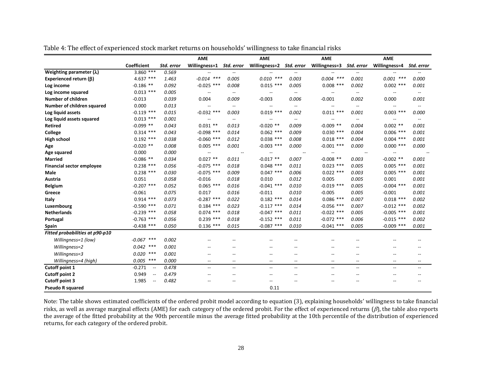|                                  |                                   |            | <b>AME</b>               |                          | <b>AME</b>               |                          | <b>AME</b>               |                                                     | <b>AME</b>               |                                                     |
|----------------------------------|-----------------------------------|------------|--------------------------|--------------------------|--------------------------|--------------------------|--------------------------|-----------------------------------------------------|--------------------------|-----------------------------------------------------|
|                                  | Coefficient                       | Std. error | Willingness=1            | Std. error               | Willingness=2            | Std. error               | Willingness=3            | Std. error                                          | Willingness=4            | Std. error                                          |
| Weighting parameter $(\lambda)$  | $3.860$ ***                       | 0.569      | $\overline{a}$           | $\overline{a}$           |                          |                          |                          | $\overline{a}$                                      |                          |                                                     |
| Experienced return $(\beta)$     | 4.637 ***                         | 1.463      | $-0.014$ ***             | 0.005                    | $0.010$ ***              | 0.003                    | $0.004$ ***              | 0.001                                               | $0.001$ ***              | 0.000                                               |
| Log income                       | $-0.186$ **                       | 0.092      | $-0.025$ ***             | 0.008                    | $0.015$ ***              | 0.005                    | $0.008$ ***              | 0.002                                               | $0.002$ ***              | 0.001                                               |
| Log income squared               | $0.013$ ***                       | 0.005      | $\overline{\phantom{m}}$ | $\overline{\phantom{m}}$ | $\overline{\phantom{a}}$ | --                       |                          | $- -$                                               | $\overline{\phantom{m}}$ | $\hspace{0.05cm} -\hspace{0.05cm} -\hspace{0.05cm}$ |
| Number of children               | $-0.013$                          | 0.039      | 0.004                    | 0.009                    | $-0.003$                 | 0.006                    | $-0.001$                 | 0.002                                               | 0.000                    | 0.001                                               |
| Number of children squared       | 0.000                             | 0.013      | $\overline{\phantom{a}}$ | $\overline{\phantom{a}}$ | $\overline{\phantom{a}}$ | $- -$                    | $\overline{\phantom{a}}$ | $\overline{\phantom{a}}$                            | $\overline{\phantom{a}}$ | $\overline{\phantom{a}}$                            |
| Log liquid assets                | $-0.119$ ***                      | 0.015      | $-0.032$ ***             | 0.003                    | $0.019$ ***              | 0.002                    | $0.011$ ***              | 0.001                                               | $0.003$ ***              | 0.000                                               |
| Log liquid assets squared        | $0.013$ ***                       | 0.001      | $\overline{a}$           | $\overline{a}$           | $\sim$                   | $\overline{\phantom{a}}$ | $\overline{\phantom{a}}$ | $\overline{a}$                                      | $- -$                    | $\overline{\phantom{a}}$                            |
| <b>Retired</b>                   | $-0.099$ **                       | 0.043      | $0.031$ **               | 0.013                    | $-0.020$ **              | 0.009                    | $-0.009$ **              | 0.004                                               | $0.002$ **               | 0.001                                               |
| College                          | $0.314$ ***                       | 0.043      | $-0.098$ ***             | 0.014                    | $0.062$ ***              | 0.009                    | $0.030$ ***              | 0.004                                               | $0.006$ ***              | 0.001                                               |
| <b>High school</b>               | $0.192$ ***                       | 0.038      | $-0.060$ ***             | 0.012                    | $0.038$ ***              | 0.008                    | $0.018$ ***              | 0.004                                               | $0.004$ ***              | 0.001                                               |
| Age                              | $-0.020$ **                       | 0.008      | $0.005$ ***              | 0.001                    | $-0.003$ ***             | 0.000                    | $-0.001$ ***             | 0.000                                               | $0.000$ ***              | 0.000                                               |
| Age squared                      | 0.000                             | 0.000      | $\overline{\phantom{a}}$ |                          |                          |                          |                          |                                                     | --                       |                                                     |
| <b>Married</b>                   | $-0.086$ **                       | 0.034      | $0.027$ **               | 0.011                    | $-0.017$ **              | 0.007                    | $-0.008$ **              | 0.003                                               | $-0.002$ **              | 0.001                                               |
| <b>Financial sector employee</b> | $0.238$ ***                       | 0.056      | $-0.075$ ***             | 0.018                    | $0.048$ ***              | 0.011                    | $0.023$ ***              | 0.005                                               | $0.005$ ***              | 0.001                                               |
| <b>Male</b>                      | $0.238$ ***                       | 0.030      | $-0.075$ ***             | 0.009                    | $0.047$ ***              | 0.006                    | $0.022$ ***              | 0.003                                               | $0.005$ ***              | 0.001                                               |
| Austria                          | 0.051                             | 0.058      | $-0.016$                 | 0.018                    | 0.010                    | 0.012                    | 0.005                    | 0.005                                               | 0.001                    | 0.001                                               |
| <b>Belgium</b>                   | $-0.207$ ***                      | 0.052      | $0.065$ ***              | 0.016                    | $-0.041$ ***             | 0.010                    | $-0.019$ ***             | 0.005                                               | $-0.004$ ***             | 0.001                                               |
| Greece                           | $-0.061$                          | 0.075      | 0.017                    | 0.016                    | $-0.011$                 | 0.010                    | $-0.005$                 | 0.005                                               | $-0.001$                 | 0.001                                               |
| Italy                            | $0.914$ ***                       | 0.073      | $-0.287$ ***             | 0.022                    | $0.182$ ***              | 0.014                    | $0.086$ ***              | 0.007                                               | $0.018$ ***              | 0.002                                               |
| Luxembourg                       | $-0.590$ ***                      | 0.071      | $0.184$ ***              | 0.023                    | $-0.117$ ***             | 0.014                    | $-0.056$ ***             | 0.007                                               | $-0.012$ ***             | 0.002                                               |
| <b>Netherlands</b>               | $-0.239$ ***                      | 0.058      | $0.074$ ***              | 0.018                    | $-0.047$ ***             | 0.011                    | $-0.022$ ***             | 0.005                                               | $-0.005$ ***             | 0.001                                               |
| Portugal                         | $-0.763$ ***                      | 0.056      | $0.239$ ***              | 0.018                    | $-0.152$ ***             | 0.011                    | $-0.072$ ***             | 0.006                                               | $-0.015$ ***             | 0.002                                               |
| Spain                            | $-0.438$ ***                      | 0.050      | $0.136$ ***              | 0.015                    | $-0.087$ ***             | 0.010                    | $-0.041$ ***             | 0.005                                               | $-0.009$ ***             | 0.001                                               |
| Fitted probabilities at p90-p10  |                                   |            |                          |                          |                          |                          |                          |                                                     |                          |                                                     |
| Willingness=1 (low)              | $-0.067$ ***                      | 0.002      |                          | $\overline{\phantom{a}}$ |                          | $\overline{\phantom{a}}$ |                          | --                                                  |                          | --                                                  |
| Willingness=2                    | $0.042$ ***                       | 0.001      |                          |                          |                          | $-$                      |                          |                                                     |                          |                                                     |
| Willingness=3                    | $***$<br>0.020                    | 0.001      | $-$                      | $\overline{\phantom{a}}$ | $-$                      | $\overline{\phantom{a}}$ | $\overline{\phantom{a}}$ | $-$                                                 | $-$                      | $-$                                                 |
| Willingness=4 (high)             | $0.005$ ***                       | 0.000      | $\overline{\phantom{a}}$ | $\overline{\phantom{m}}$ | $\overline{\phantom{a}}$ | $\overline{\phantom{m}}$ | $\hspace{0.05cm} \ldots$ | $\hspace{0.05cm} -\hspace{0.05cm} -\hspace{0.05cm}$ | $- -$                    | $\overline{\phantom{m}}$                            |
| Cutoff point 1                   | $-0.271$<br>$\overline{a}$        | 0.478      | $-$                      | $\overline{\phantom{a}}$ | $\overline{\phantom{a}}$ | $\overline{a}$           | $\overline{\phantom{a}}$ | $\overline{\phantom{a}}$                            | $- -$                    | $\qquad \qquad -$                                   |
| Cutoff point 2                   | 0.949<br>$\overline{\phantom{a}}$ | 0.479      | $- -$                    | $\overline{\phantom{m}}$ | $\overline{a}$           | $-$                      | $\overline{a}$           | $\overline{\phantom{a}}$                            | $-$                      | $\overline{\phantom{a}}$                            |
| Cutoff point 3                   | 1.985<br>$\overline{\phantom{a}}$ | 0.482      |                          |                          | --                       |                          |                          |                                                     |                          |                                                     |
| <b>Pseudo R squared</b>          |                                   |            |                          |                          | 0.11                     |                          |                          |                                                     |                          |                                                     |

Table 4: The effect of experienced stock market returns on households' willingness to take financial risks

Note: The table shows estimated coefficients of the ordered probit model according to equation (3), explaining households' willingness to take financial risks, as well as average marginal effects (AME) for each category of the ordered probit. For the effect of experienced returns ( $\beta$ ), the table also reports the average of the fitted probability at the 90th percentile minus the average fitted probability at the 10th percentile of the distribution of experienced returns, for each category of the ordered probit.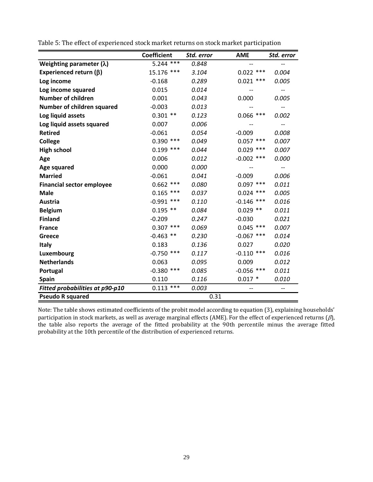|                                  | <b>Coefficient</b> | Std. error | <b>AME</b>        | Std. error                            |
|----------------------------------|--------------------|------------|-------------------|---------------------------------------|
| Weighting parameter $(\lambda)$  | $5.244$ ***        | 0.848      |                   | $-$                                   |
| Experienced return $(\beta)$     | 15.176 ***         | 3.104      | $0.022$ ***       | 0.004                                 |
| Log income                       | $-0.168$           | 0.289      | $0.021$ ***       | 0.005                                 |
| Log income squared               | 0.015              | 0.014      | $-$               | $\hspace{0.05cm}$ – $\hspace{0.05cm}$ |
| <b>Number of children</b>        | 0.001              | 0.043      | 0.000             | 0.005                                 |
| Number of children squared       | $-0.003$           | 0.013      | $-$               | --                                    |
| Log liquid assets                | $0.301$ **         | 0.123      | $0.066$ ***       | 0.002                                 |
| Log liquid assets squared        | 0.007              | 0.006      | $\qquad \qquad -$ | --                                    |
| <b>Retired</b>                   | $-0.061$           | 0.054      | $-0.009$          | 0.008                                 |
| <b>College</b>                   | $0.390$ ***        | 0.049      | $0.057$ ***       | 0.007                                 |
| <b>High school</b>               | $0.199$ ***        | 0.044      | $0.029$ ***       | 0.007                                 |
| Age                              | 0.006              | 0.012      | $-0.002$ ***      | 0.000                                 |
| Age squared                      | 0.000              | 0.000      |                   | --                                    |
| <b>Married</b>                   | $-0.061$           | 0.041      | $-0.009$          | 0.006                                 |
| <b>Financial sector employee</b> | $0.662$ ***        | 0.080      | $0.097$ ***       | 0.011                                 |
| <b>Male</b>                      | ***<br>0.165       | 0.037      | $0.024$ ***       | 0.005                                 |
| Austria                          | $-0.991$<br>***    | 0.110      | $-0.146$ ***      | 0.016                                 |
| <b>Belgium</b>                   | $0.195$ **         | 0.084      | $0.029$ **        | 0.011                                 |
| <b>Finland</b>                   | $-0.209$           | 0.247      | $-0.030$          | 0.021                                 |
| <b>France</b>                    | $0.307$ ***        | 0.069      | $0.045$ ***       | 0.007                                 |
| Greece                           | $-0.463$ **        | 0.230      | $-0.067$ ***      | 0.014                                 |
| <b>Italy</b>                     | 0.183              | 0.136      | 0.027             | 0.020                                 |
| Luxembourg                       | $-0.750$ ***       | 0.117      | $-0.110$ ***      | 0.016                                 |
| <b>Netherlands</b>               | 0.063              | 0.095      | 0.009             | 0.012                                 |
| Portugal                         | $-0.380$ ***       | 0.085      | $-0.056$ ***      | 0.011                                 |
| <b>Spain</b>                     | 0.110              | 0.116      | $0.017$ *         | 0.010                                 |
| Fitted probabilities at p90-p10  | $0.113$ ***        | 0.003      | --                | $-$                                   |
| <b>Pseudo R squared</b>          |                    | 0.31       |                   |                                       |

Table 5: The effect of experienced stock market returns on stock market participation

Note: The table shows estimated coefficients of the probit model according to equation (3), explaining households' participation in stock markets, as well as average marginal effects (AME). For the effect of experienced returns ( $\beta$ ), the table also reports the average of the fitted probability at the 90th percentile minus the average fitted probability at the 10th percentile of the distribution of experienced returns.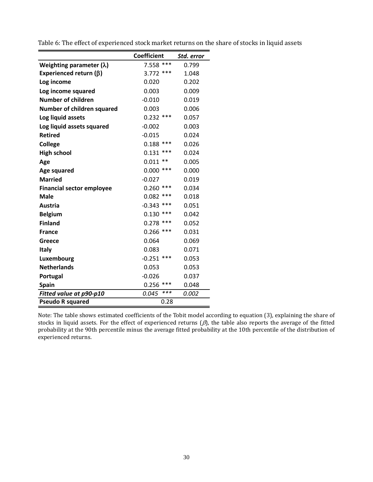|                                  | <b>Coefficient</b> | Std. error |
|----------------------------------|--------------------|------------|
| Weighting parameter $(\lambda)$  | 7.558 ***          | 0.799      |
| Experienced return $(\beta)$     | $3.772$ ***        | 1.048      |
| Log income                       | 0.020              | 0.202      |
| Log income squared               | 0.003              | 0.009      |
| <b>Number of children</b>        | $-0.010$           | 0.019      |
| Number of children squared       | 0.003              | 0.006      |
| Log liquid assets                | $0.232$ ***        | 0.057      |
| Log liquid assets squared        | $-0.002$           | 0.003      |
| <b>Retired</b>                   | $-0.015$           | 0.024      |
| <b>College</b>                   | $0.188$ ***        | 0.026      |
| <b>High school</b>               | ***<br>0.131       | 0.024      |
| Age                              | $0.011**$          | 0.005      |
| <b>Age squared</b>               | $0.000$ ***        | 0.000      |
| <b>Married</b>                   | $-0.027$           | 0.019      |
| <b>Financial sector employee</b> | $0.260$ ***        | 0.034      |
| Male                             | $0.082$ ***        | 0.018      |
| Austria                          | $-0.343$ ***       | 0.051      |
| <b>Belgium</b>                   | ***<br>0.130       | 0.042      |
| <b>Finland</b>                   | $0.278$ ***        | 0.052      |
| <b>France</b>                    | $0.266$ ***        | 0.031      |
| Greece                           | 0.064              | 0.069      |
| <b>Italy</b>                     | 0.083              | 0.071      |
| Luxembourg                       | $-0.251$ ***       | 0.053      |
| <b>Netherlands</b>               | 0.053              | 0.053      |
| Portugal                         | $-0.026$           | 0.037      |
| <b>Spain</b>                     | $0.256$ ***        | 0.048      |
| Fitted value at p90-p10          | ***<br>0.045       | 0.002      |
| <b>Pseudo R squared</b>          | 0.28               |            |

Table 6: The effect of experienced stock market returns on the share of stocks in liquid assets

Note: The table shows estimated coefficients of the Tobit model according to equation (3), explaining the share of stocks in liquid assets. For the effect of experienced returns ( $\beta$ ), the table also reports the average of the fitted probability at the 90th percentile minus the average fitted probability at the 10th percentile of the distribution of experienced returns.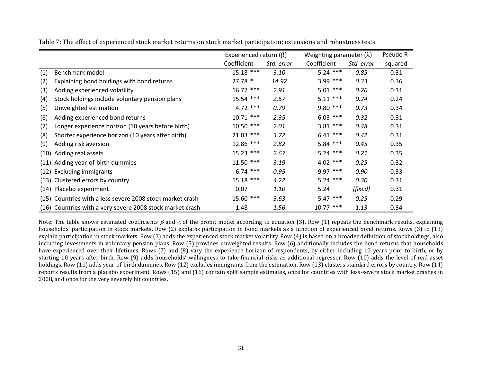|      |                                                           | Experienced return $(\beta)$ |            | Weighting parameter $(\lambda)$ |            | Pseudo R- |
|------|-----------------------------------------------------------|------------------------------|------------|---------------------------------|------------|-----------|
|      |                                                           | Coefficient                  | Std. error | Coefficient                     | Std. error | squared   |
| (1)  | Benchmark model                                           | $15.18$ ***                  | 3.10       | $5.24$ ***                      | 0.85       | 0.31      |
| (2)  | Explaining bond holdings with bond returns                | $27.78*$                     | 14.92      | $3.99$ ***                      | 0.33       | 0.36      |
| (3)  | Adding experienced volatility                             | $16.77$ ***                  | 2.91       | $5.01$ ***                      | 0.26       | 0.31      |
| (4)  | Stock holdings include voluntary pension plans            | 15.54 ***                    | 2.67       | $5.11***$                       | 0.24       | 0.24      |
| (5)  | Unweighted estimation                                     | $4.72$ ***                   | 0.79       | $9.80$ ***                      | 0.73       | 0.34      |
| (6)  | Adding experienced bond returns                           | $10.71$ ***                  | 2.35       | $6.03$ ***                      | 0.32       | 0.31      |
| (7)  | Longer experience horizon (10 years before birth)         | $10.50$ ***                  | 2.01       | $3.81***$                       | 0.48       | 0.31      |
| (8)  | Shorter experience horizon (10 years after birth)         | $21.03$ ***                  | 3.72       | $6.41***$                       | 0.42       | 0.31      |
| (9)  | Adding risk aversion                                      | 12.86 ***                    | 2.82       | $5.84$ ***                      | 0.45       | 0.35      |
| (10) | Adding real assets                                        | $15.23$ ***                  | 2.67       | $5.24$ ***                      | 0.21       | 0.35      |
|      | (11) Adding year-of-birth dummies                         | $11.50$ ***                  | 3.19       | $4.02$ ***                      | 0.25       | 0.32      |
|      | (12) Excluding immigrants                                 | $6.74$ ***                   | 0.95       | $9.97***$                       | 0.90       | 0.33      |
|      | (13) Clustered errors by country                          | $15.18$ ***                  | 4.22       | $5.24$ ***                      | 0.30       | 0.31      |
| (14) | Placebo experiment                                        | 0.07                         | 1.10       | 5.24                            | [fixed]    | 0.31      |
|      | (15) Countries with a less severe 2008 stock market crash | 15.60 ***                    | 3.63       | $5.47$ ***                      | 0.25       | 0.29      |
|      | (16) Countries with a very severe 2008 stock market crash | 1.48                         | 1.56       | $10.77$ ***                     | 1.13       | 0.34      |

Table 7: The effect of experienced stock market returns on stock market participation; extensions and robustness tests

Note: The table shows estimated coefficients  $\beta$  and  $\lambda$  of the probit model according to equation (3). Row (1) repeats the benchmark results, explaining households' participation in stock markets. Row (2) explains participation in bond markets as a function of experienced bond returns. Rows (3) to (13) explain participation in stock markets. Row (3) adds the experienced stock market volatility. Row (4) is based on a broader definition of stockholdings, also including investments in voluntary pension plans. Row (5) provides unweighted results. Row (6) additionally includes the bond returns that households have experienced over their lifetimes. Rows (7) and (8) vary the experience horizon of respondents, by either including 10 years prior to birth, or by starting 10 years after birth. Row (9) adds households' willingness to take financial risks as additional regressor. Row (10) adds the level of real asset holdings. Row (11) adds year-of-birth dummies. Row (12) excludes immigrants from the estimation. Row (13) clusters standard errors by country. Row (14) reports results from a placebo experiment. Rows (15) and (16) contain split sample estimates, once for countries with less-severe stock market crashes in 2008, and once for the very severely hit countries.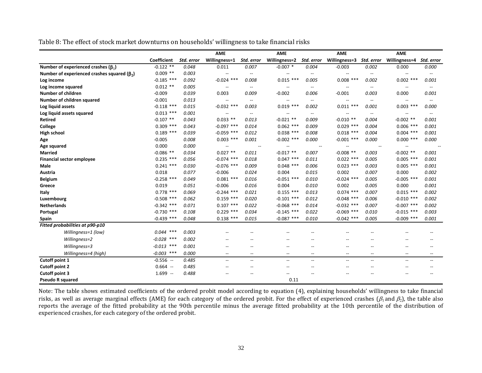Table 8: The effect of stock market downturns on households' willingness to take financial risks

|                                                     |              |            | <b>AME</b>               |                          | <b>AME</b>               |                          | <b>AME</b>                                          |                          | <b>AME</b>               |                          |
|-----------------------------------------------------|--------------|------------|--------------------------|--------------------------|--------------------------|--------------------------|-----------------------------------------------------|--------------------------|--------------------------|--------------------------|
|                                                     | Coefficient  | Std. error | Willingness=1            | Std. error               | Willingness=2            | Std. error               | Willingness=3                                       | Std. error               | Willingness=4            | Std. error               |
| Number of experienced crashes ( $\beta_1$ )         | $-0.122$ **  | 0.048      | 0.011                    | 0.007                    | $-0.007$ *               | 0.004                    | $-0.003$                                            | 0.002                    | 0.000                    | 0.000                    |
| Number of experienced crashes squared ( $\beta_2$ ) | $0.009$ **   | 0.003      | $\overline{\phantom{a}}$ | $\overline{\phantom{m}}$ |                          | $\overline{\phantom{a}}$ | $\overline{\phantom{a}}$                            |                          | $\overline{\phantom{a}}$ |                          |
| Log income                                          | $-0.185$ *** | 0.092      | $-0.024$ ***             | 0.008                    | $0.015$ ***              | 0.005                    | $0.008$ ***                                         | 0.002                    | $0.002$ ***              | 0.001                    |
| Log income squared                                  | $0.012$ **   | 0.005      | $\overline{\phantom{a}}$ | $\overline{\phantom{a}}$ | $\overline{\phantom{m}}$ | $\qquad \qquad -$        | $\overline{\phantom{a}}$                            | $\overline{\phantom{a}}$ | $\overline{\phantom{a}}$ | $\overline{\phantom{a}}$ |
| <b>Number of children</b>                           | $-0.009$     | 0.039      | 0.003                    | 0.009                    | $-0.002$                 | 0.006                    | $-0.001$                                            | 0.003                    | 0.000                    | 0.001                    |
| Number of children squared                          | $-0.001$     | 0.013      | $\overline{\phantom{a}}$ | $\overline{\phantom{a}}$ | $\overline{\phantom{m}}$ | $\qquad \qquad -$        | $\overline{\phantom{a}}$                            | $\hspace{0.05cm} \ldots$ | $\overline{\phantom{a}}$ | $\overline{\phantom{a}}$ |
| Log liquid assets                                   | $-0.118$ *** | 0.015      | $-0.032$ ***             | 0.003                    | $0.019$ ***              | 0.002                    | $0.011$ ***                                         | 0.001                    | $0.003$ ***              | 0.000                    |
| Log liquid assets squared                           | $0.013$ ***  | 0.001      | $\overline{\phantom{a}}$ | $\overline{\phantom{a}}$ | $\hspace{0.05cm} \ldots$ | $\overline{\phantom{a}}$ | $\hspace{0.05cm} -\hspace{0.05cm} -\hspace{0.05cm}$ | $\hspace{0.05cm} \ldots$ | $\overline{\phantom{a}}$ |                          |
| <b>Retired</b>                                      | $-0.107$ **  | 0.043      | $0.033$ **               | 0.013                    | $-0.021$ **              | 0.009                    | $-0.010$ **                                         | 0.004                    | $-0.002$ **              | 0.001                    |
| College                                             | $0.309$ ***  | 0.043      | $-0.097$ ***             | 0.014                    | $0.062$ ***              | 0.009                    | $0.029$ ***                                         | 0.004                    | $0.006$ ***              | 0.001                    |
| <b>High school</b>                                  | $0.189$ ***  | 0.039      | $-0.059$ ***             | 0.012                    | $0.038$ ***              | 0.008                    | $0.018$ ***                                         | 0.004                    | $0.004$ ***              | 0.001                    |
| Age                                                 | $-0.005$     | 0.008      | $0.003$ ***              | 0.001                    | $-0.002$ ***             | 0.000                    | $-0.001$ ***                                        | 0.000                    | $0.000$ ***              | 0.000                    |
| Age squared                                         | 0.000        | 0.000      |                          | $\overline{\phantom{m}}$ |                          | $\overline{\phantom{a}}$ |                                                     | $\overline{\phantom{a}}$ |                          |                          |
| <b>Married</b>                                      | $-0.086$ **  | 0.034      | $0.027$ **               | 0.011                    | $-0.017$ **              | 0.007                    | $-0.008$ **                                         | 0.003                    | $-0.002$ **              | 0.001                    |
| <b>Financial sector employee</b>                    | $0.235$ ***  | 0.056      | $-0.074$ ***             | 0.018                    | $0.047$ ***              | 0.011                    | $0.022$ ***                                         | 0.005                    | $0.005$ ***              | 0.001                    |
| <b>Male</b>                                         | $0.241$ ***  | 0.030      | $-0.076$ ***             | 0.009                    | $0.048$ ***              | 0.006                    | $0.023$ ***                                         | 0.003                    | $0.005$ ***              | 0.001                    |
| Austria                                             | 0.018        | 0.077      | $-0.006$                 | 0.024                    | 0.004                    | 0.015                    | 0.002                                               | 0.007                    | 0.000                    | 0.002                    |
| <b>Belgium</b>                                      | $-0.258$ *** | 0.049      | $0.081$ ***              | 0.016                    | $-0.051$ ***             | 0.010                    | $-0.024$ ***                                        | 0.005                    | $-0.005$ ***             | 0.001                    |
| Greece                                              | 0.019        | 0.051      | $-0.006$                 | 0.016                    | 0.004                    | 0.010                    | 0.002                                               | 0.005                    | 0.000                    | 0.001                    |
| Italy                                               | $0.778$ ***  | 0.069      | $-0.244$ ***             | 0.021                    | $0.155$ ***              | 0.013                    | $0.074$ ***                                         | 0.007                    | $0.015$ ***              | 0.002                    |
| Luxembourg                                          | $-0.508$ *** | 0.062      | $0.159$ ***              | 0.020                    | $-0.101$ ***             | 0.012                    | $-0.048$ ***                                        | 0.006                    | $-0.010$ ***             | 0.002                    |
| <b>Netherlands</b>                                  | $-0.342$ *** | 0.071      | $0.107$ ***              | 0.022                    | $-0.068$ ***             | 0.014                    | $-0.032$ ***                                        | 0.007                    | $-0.007$ ***             | 0.002                    |
| Portugal                                            | $-0.730$ *** | 0.108      | $0.229$ ***              | 0.034                    | $-0.145$ ***             | 0.022                    | $-0.069$ ***                                        | 0.010                    | $-0.015$ ***             | 0.003                    |
| Spain                                               | $-0.439$ *** | 0.048      | $0.138$ ***              | 0.015                    | $-0.087$ ***             | 0.010                    | $-0.042$ ***                                        | 0.005                    | $-0.009$ ***             | 0.001                    |
| Fitted probabilities at p90-p10                     |              |            |                          |                          |                          |                          |                                                     |                          |                          |                          |
| Willingness=1 (low)                                 | $0.044$ ***  | 0.003      |                          |                          |                          |                          |                                                     |                          |                          |                          |
| Willingness=2                                       | $-0.028$ *** | 0.002      |                          |                          |                          |                          |                                                     |                          |                          |                          |
| Willingness=3                                       | $-0.013$ *** | 0.001      | $\overline{\phantom{a}}$ | --                       | $\overline{\phantom{a}}$ |                          | $\overline{\phantom{a}}$                            |                          | $-$                      |                          |
| Willingness=4 (high)                                | $-0.003$ *** | 0.000      | $\overline{\phantom{a}}$ | $-$                      | $\hspace{0.05cm} \ldots$ | $-$                      | $\hspace{0.05cm} \dashv$                            | $\overline{\phantom{a}}$ | $\hspace{0.05cm} \ldots$ | --                       |
| Cutoff point 1                                      | $-0.556 -$   | 0.485      | $\overline{\phantom{a}}$ | $\overline{a}$           | $\overline{\phantom{a}}$ | --                       | $\overline{\phantom{a}}$                            | $- -$                    | $\overline{\phantom{a}}$ |                          |
| Cutoff point 2                                      | $0.664 -$    | 0.485      | $\overline{\phantom{a}}$ | $\overline{\phantom{m}}$ | $-$                      |                          | $-$                                                 | --                       | $\overline{\phantom{m}}$ |                          |
| Cutoff point 3                                      | $1.699 -$    | 0.488      |                          |                          |                          |                          |                                                     |                          |                          |                          |
| <b>Pseudo R squared</b>                             |              |            |                          |                          | 0.11                     |                          |                                                     |                          |                          |                          |

Note: The table shows estimated coefficients of the ordered probit model according to equation (4), explaining households' willingness to take financial risks, as well as average marginal effects (AME) for each category of the ordered probit. For the effect of experienced crashes ( $\beta_1$  and  $\beta_2$ ), the table also reports the average of the fitted probability at the 90th percentile minus the average fitted probability at the 10th percentile of the distribution of experienced crashes, for each category of the ordered probit.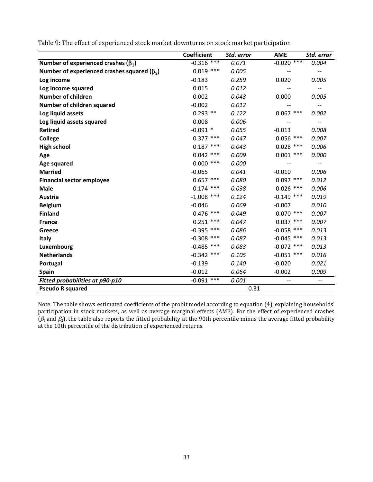|                                                     | <b>Coefficient</b> | Std. error | <b>AME</b>               | Std. error                          |
|-----------------------------------------------------|--------------------|------------|--------------------------|-------------------------------------|
| Number of experienced crashes ( $\beta_1$ )         | $-0.316$ ***       | 0.071      | $-0.020$ ***             | 0.004                               |
| Number of experienced crashes squared ( $\beta_2$ ) | $0.019$ ***        | 0.005      | $-$                      | $\overline{\phantom{a}}$            |
| Log income                                          | $-0.183$           | 0.259      | 0.020                    | 0.005                               |
| Log income squared                                  | 0.015              | 0.012      | $\qquad \qquad -$        | $\overline{\phantom{m}}$            |
| <b>Number of children</b>                           | 0.002              | 0.043      | 0.000                    | 0.005                               |
| Number of children squared                          | $-0.002$           | 0.012      |                          | $\qquad \qquad -$                   |
| Log liquid assets                                   | $0.293$ **         | 0.122      | $0.067$ ***              | 0.002                               |
| Log liquid assets squared                           | 0.008              | 0.006      | $-$                      | $\hspace{0.05cm}$ $\hspace{0.05cm}$ |
| <b>Retired</b>                                      | $-0.091$ *         | 0.055      | $-0.013$                 | 0.008                               |
| <b>College</b>                                      | $0.377$ ***        | 0.047      | $0.056$ ***              | 0.007                               |
| <b>High school</b>                                  | $0.187$ ***        | 0.043      | $0.028$ ***              | 0.006                               |
| Age                                                 | $0.042$ ***        | 0.009      | $0.001$ ***              | 0.000                               |
| <b>Age squared</b>                                  | $0.000$ ***        | 0.000      |                          | $\qquad \qquad -$                   |
| <b>Married</b>                                      | $-0.065$           | 0.041      | $-0.010$                 | 0.006                               |
| <b>Financial sector employee</b>                    | $0.657$ ***        | 0.080      | $0.097$ ***              | 0.012                               |
| <b>Male</b>                                         | $0.174$ ***        | 0.038      | $0.026$ ***              | 0.006                               |
| Austria                                             | $-1.008$ ***       | 0.124      | $-0.149$ ***             | 0.019                               |
| <b>Belgium</b>                                      | $-0.046$           | 0.069      | $-0.007$                 | 0.010                               |
| <b>Finland</b>                                      | $0.476$ ***        | 0.049      | $0.070$ ***              | 0.007                               |
| <b>France</b>                                       | $0.251$ ***        | 0.047      | $0.037$ ***              | 0.007                               |
| Greece                                              | $-0.395$ ***       | 0.086      | $-0.058$ ***             | 0.013                               |
| <b>Italy</b>                                        | $-0.308$ ***       | 0.087      | $-0.045$ ***             | 0.013                               |
| Luxembourg                                          | $-0.485$ ***       | 0.083      | $-0.072$ ***             | 0.013                               |
| <b>Netherlands</b>                                  | $-0.342$ ***       | 0.105      | $-0.051$ ***             | 0.016                               |
| Portugal                                            | $-0.139$           | 0.140      | $-0.020$                 | 0.021                               |
| <b>Spain</b>                                        | $-0.012$           | 0.064      | $-0.002$                 | 0.009                               |
| Fitted probabilities at p90-p10                     | $-0.091$ ***       | 0.001      | $\overline{\phantom{a}}$ | $- -$                               |
| <b>Pseudo R squared</b>                             |                    | 0.31       |                          |                                     |

Table 9: The effect of experienced stock market downturns on stock market participation

Note: The table shows estimated coefficients of the probit model according to equation (4), explaining households' participation in stock markets, as well as average marginal effects (AME). For the effect of experienced crashes ( $\beta_1$  and  $\beta_2$ ), the table also reports the fitted probability at the 90th percentile minus the average fitted probability at the 10th percentile of the distribution of experienced returns.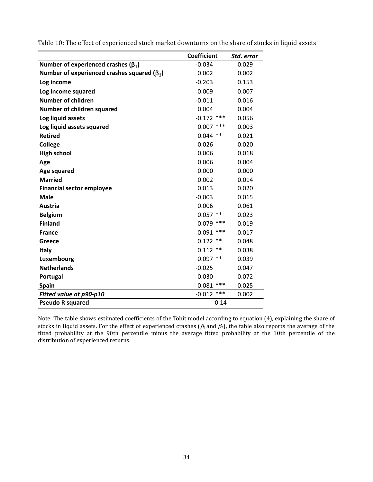|                                                     | <b>Coefficient</b> | Std. error |
|-----------------------------------------------------|--------------------|------------|
| Number of experienced crashes ( $\beta_1$ )         | $-0.034$           | 0.029      |
| Number of experienced crashes squared ( $\beta_2$ ) | 0.002              | 0.002      |
| Log income                                          | $-0.203$           | 0.153      |
| Log income squared                                  | 0.009              | 0.007      |
| <b>Number of children</b>                           | $-0.011$           | 0.016      |
| Number of children squared                          | 0.004              | 0.004      |
| Log liquid assets                                   | $-0.172$ ***       | 0.056      |
| Log liquid assets squared                           | $0.007$ ***        | 0.003      |
| <b>Retired</b>                                      | $0.044$ **         | 0.021      |
| <b>College</b>                                      | 0.026              | 0.020      |
| <b>High school</b>                                  | 0.006              | 0.018      |
| Age                                                 | 0.006              | 0.004      |
| Age squared                                         | 0.000              | 0.000      |
| <b>Married</b>                                      | 0.002              | 0.014      |
| <b>Financial sector employee</b>                    | 0.013              | 0.020      |
| <b>Male</b>                                         | $-0.003$           | 0.015      |
| Austria                                             | 0.006              | 0.061      |
| <b>Belgium</b>                                      | $0.057$ **         | 0.023      |
| <b>Finland</b>                                      | $0.079$ ***        | 0.019      |
| <b>France</b>                                       | 0.091<br>***       | 0.017      |
| Greece                                              | 0.122<br>$***$     | 0.048      |
| <b>Italy</b>                                        | 0.112<br>$***$     | 0.038      |
| Luxembourg                                          | $0.097$ **         | 0.039      |
| <b>Netherlands</b>                                  | $-0.025$           | 0.047      |
| Portugal                                            | 0.030              | 0.072      |
| <b>Spain</b>                                        | $0.081$ ***        | 0.025      |
| Fitted value at p90-p10                             | $-0.012$ ***       | 0.002      |
| <b>Pseudo R squared</b>                             | 0.14               |            |

Table 10: The effect of experienced stock market downturns on the share of stocks in liquid assets

Note: The table shows estimated coefficients of the Tobit model according to equation (4), explaining the share of stocks in liquid assets. For the effect of experienced crashes ( $\beta_1$  and  $\beta_2$ ), the table also reports the average of the fitted probability at the 90th percentile minus the average fitted probability at the 10th percentile of the distribution of experienced returns.